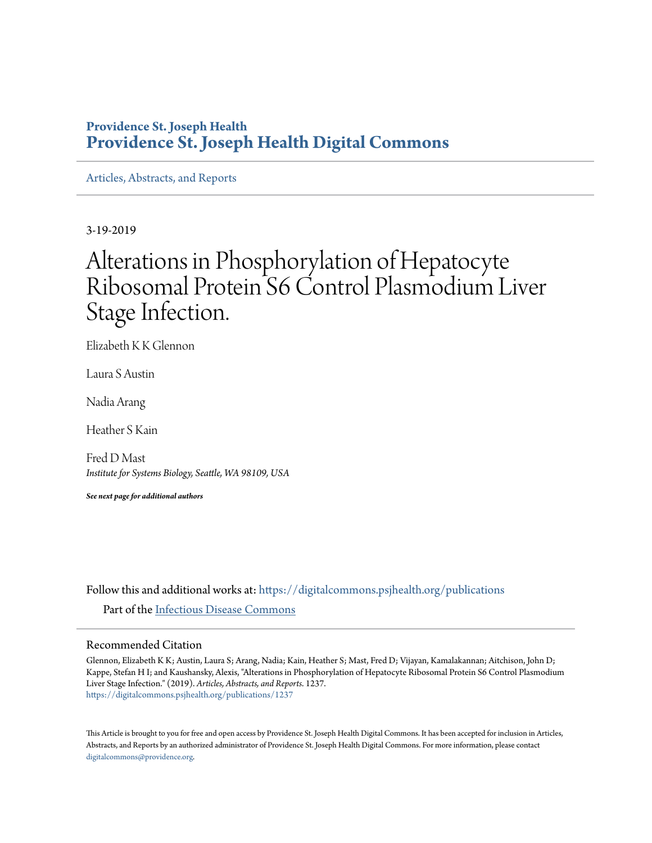# **Providence St. Joseph Health [Providence St. Joseph Health Digital Commons](https://digitalcommons.psjhealth.org?utm_source=digitalcommons.psjhealth.org%2Fpublications%2F1237&utm_medium=PDF&utm_campaign=PDFCoverPages)**

[Articles, Abstracts, and Reports](https://digitalcommons.psjhealth.org/publications?utm_source=digitalcommons.psjhealth.org%2Fpublications%2F1237&utm_medium=PDF&utm_campaign=PDFCoverPages)

3-19-2019

# Alterations in Phosphorylation of Hepatocyte Ribosomal Protein S6 Control Plasmodium Liver Stage Infection.

Elizabeth K K Glennon

Laura S Austin

Nadia Arang

Heather S Kain

Fred D Mast *Institute for Systems Biology, Seattle, WA 98109, USA*

*See next page for additional authors*

Follow this and additional works at: [https://digitalcommons.psjhealth.org/publications](https://digitalcommons.psjhealth.org/publications?utm_source=digitalcommons.psjhealth.org%2Fpublications%2F1237&utm_medium=PDF&utm_campaign=PDFCoverPages) Part of the [Infectious Disease Commons](http://network.bepress.com/hgg/discipline/689?utm_source=digitalcommons.psjhealth.org%2Fpublications%2F1237&utm_medium=PDF&utm_campaign=PDFCoverPages)

## Recommended Citation

Glennon, Elizabeth K K; Austin, Laura S; Arang, Nadia; Kain, Heather S; Mast, Fred D; Vijayan, Kamalakannan; Aitchison, John D; Kappe, Stefan H I; and Kaushansky, Alexis, "Alterations in Phosphorylation of Hepatocyte Ribosomal Protein S6 Control Plasmodium Liver Stage Infection." (2019). *Articles, Abstracts, and Reports*. 1237. [https://digitalcommons.psjhealth.org/publications/1237](https://digitalcommons.psjhealth.org/publications/1237?utm_source=digitalcommons.psjhealth.org%2Fpublications%2F1237&utm_medium=PDF&utm_campaign=PDFCoverPages)

This Article is brought to you for free and open access by Providence St. Joseph Health Digital Commons. It has been accepted for inclusion in Articles, Abstracts, and Reports by an authorized administrator of Providence St. Joseph Health Digital Commons. For more information, please contact [digitalcommons@providence.org](mailto:digitalcommons@providence.org).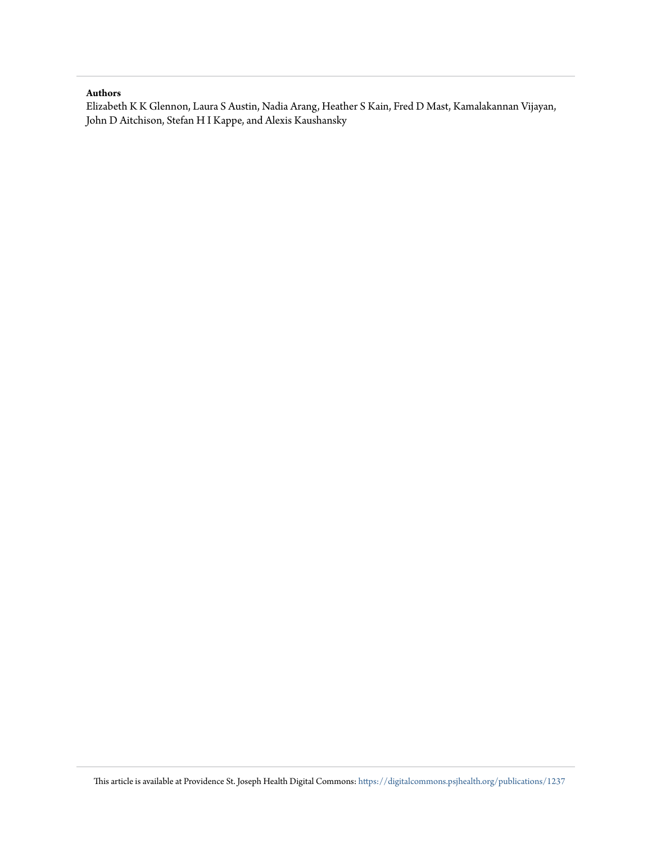#### **Authors**

Elizabeth K K Glennon, Laura S Austin, Nadia Arang, Heather S Kain, Fred D Mast, Kamalakannan Vijayan, John D Aitchison, Stefan H I Kappe, and Alexis Kaushansky

This article is available at Providence St. Joseph Health Digital Commons: [https://digitalcommons.psjhealth.org/publications/1237](https://digitalcommons.psjhealth.org/publications/1237?utm_source=digitalcommons.psjhealth.org%2Fpublications%2F1237&utm_medium=PDF&utm_campaign=PDFCoverPages)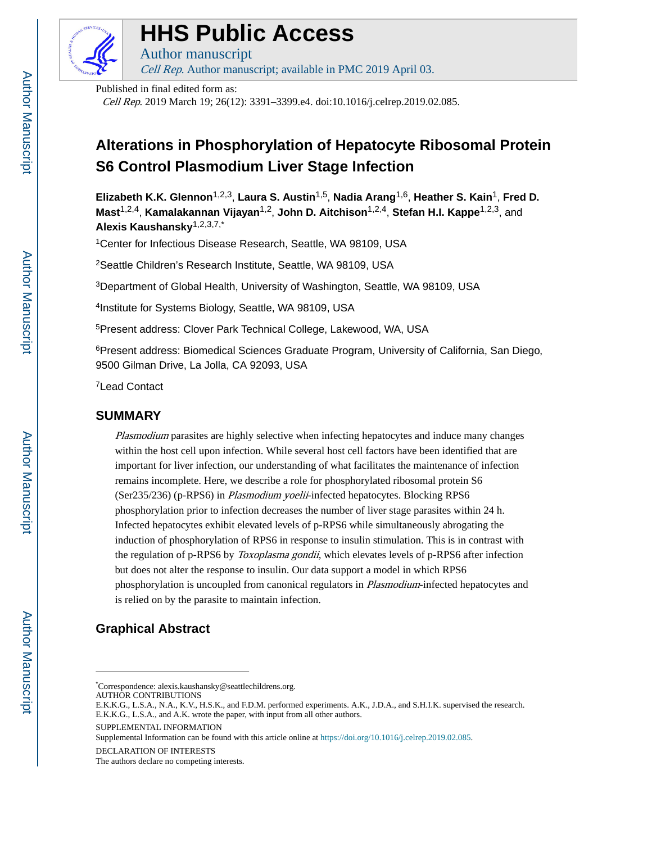

# **HHS Public Access**

Author manuscript Cell Rep. Author manuscript; available in PMC 2019 April 03.

Published in final edited form as:

Cell Rep. 2019 March 19; 26(12): 3391–3399.e4. doi:10.1016/j.celrep.2019.02.085.

# **Alterations in Phosphorylation of Hepatocyte Ribosomal Protein S6 Control Plasmodium Liver Stage Infection**

**Elizabeth K.K. Glennon**1,2,3, **Laura S. Austin**1,5, **Nadia Arang**1,6, **Heather S. Kain**1, **Fred D. Mast**1,2,4, **Kamalakannan Vijayan**1,2, **John D. Aitchison**1,2,4, **Stefan H.I. Kappe**1,2,3, and **Alexis Kaushansky**1,2,3,7,\*

<sup>1</sup>Center for Infectious Disease Research, Seattle, WA 98109, USA

<sup>2</sup>Seattle Children's Research Institute, Seattle, WA 98109, USA

<sup>3</sup>Department of Global Health, University of Washington, Seattle, WA 98109, USA

4 Institute for Systems Biology, Seattle, WA 98109, USA

<sup>5</sup>Present address: Clover Park Technical College, Lakewood, WA, USA

<sup>6</sup> Present address: Biomedical Sciences Graduate Program, University of California, San Diego, 9500 Gilman Drive, La Jolla, CA 92093, USA

<sup>7</sup>Lead Contact

# **SUMMARY**

Plasmodium parasites are highly selective when infecting hepatocytes and induce many changes within the host cell upon infection. While several host cell factors have been identified that are important for liver infection, our understanding of what facilitates the maintenance of infection remains incomplete. Here, we describe a role for phosphorylated ribosomal protein S6 (Ser235/236) (p-RPS6) in Plasmodium yoelii-infected hepatocytes. Blocking RPS6 phosphorylation prior to infection decreases the number of liver stage parasites within 24 h. Infected hepatocytes exhibit elevated levels of p-RPS6 while simultaneously abrogating the induction of phosphorylation of RPS6 in response to insulin stimulation. This is in contrast with the regulation of p-RPS6 by *Toxoplasma gondii*, which elevates levels of p-RPS6 after infection but does not alter the response to insulin. Our data support a model in which RPS6 phosphorylation is uncoupled from canonical regulators in Plasmodium-infected hepatocytes and is relied on by the parasite to maintain infection.

# **Graphical Abstract**

Supplemental Information can be found with this article online at<https://doi.org/10.1016/j.celrep.2019.02.085>.

<sup>\*</sup>Correspondence: alexis.kaushansky@seattlechildrens.org. AUTHOR CONTRIBUTIONS

E.K.K.G., L.S.A., N.A., K.V., H.S.K., and F.D.M. performed experiments. A.K., J.D.A., and S.H.I.K. supervised the research. E.K.K.G., L.S.A., and A.K. wrote the paper, with input from all other authors.

SUPPLEMENTAL INFORMATION

DECLARATION OF INTERESTS

The authors declare no competing interests.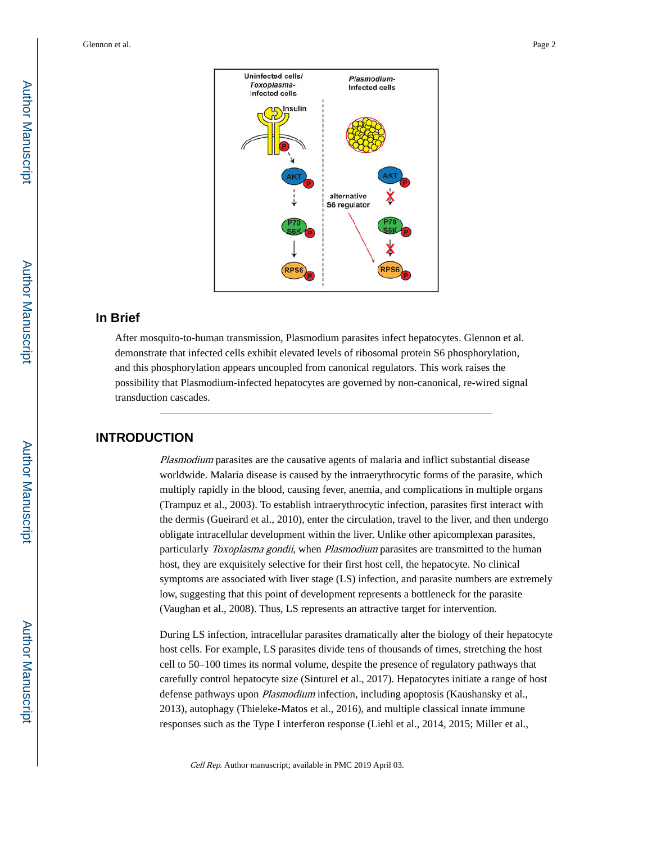

# **In Brief**

After mosquito-to-human transmission, Plasmodium parasites infect hepatocytes. Glennon et al. demonstrate that infected cells exhibit elevated levels of ribosomal protein S6 phosphorylation, and this phosphorylation appears uncoupled from canonical regulators. This work raises the possibility that Plasmodium-infected hepatocytes are governed by non-canonical, re-wired signal transduction cascades.

# **INTRODUCTION**

Plasmodium parasites are the causative agents of malaria and inflict substantial disease worldwide. Malaria disease is caused by the intraerythrocytic forms of the parasite, which multiply rapidly in the blood, causing fever, anemia, and complications in multiple organs (Trampuz et al., 2003). To establish intraerythrocytic infection, parasites first interact with the dermis (Gueirard et al., 2010), enter the circulation, travel to the liver, and then undergo obligate intracellular development within the liver. Unlike other apicomplexan parasites, particularly Toxoplasma gondii, when Plasmodium parasites are transmitted to the human host, they are exquisitely selective for their first host cell, the hepatocyte. No clinical symptoms are associated with liver stage (LS) infection, and parasite numbers are extremely low, suggesting that this point of development represents a bottleneck for the parasite (Vaughan et al., 2008). Thus, LS represents an attractive target for intervention.

During LS infection, intracellular parasites dramatically alter the biology of their hepatocyte host cells. For example, LS parasites divide tens of thousands of times, stretching the host cell to 50–100 times its normal volume, despite the presence of regulatory pathways that carefully control hepatocyte size (Sinturel et al., 2017). Hepatocytes initiate a range of host defense pathways upon *Plasmodium* infection, including apoptosis (Kaushansky et al., 2013), autophagy (Thieleke-Matos et al., 2016), and multiple classical innate immune responses such as the Type I interferon response (Liehl et al., 2014, 2015; Miller et al.,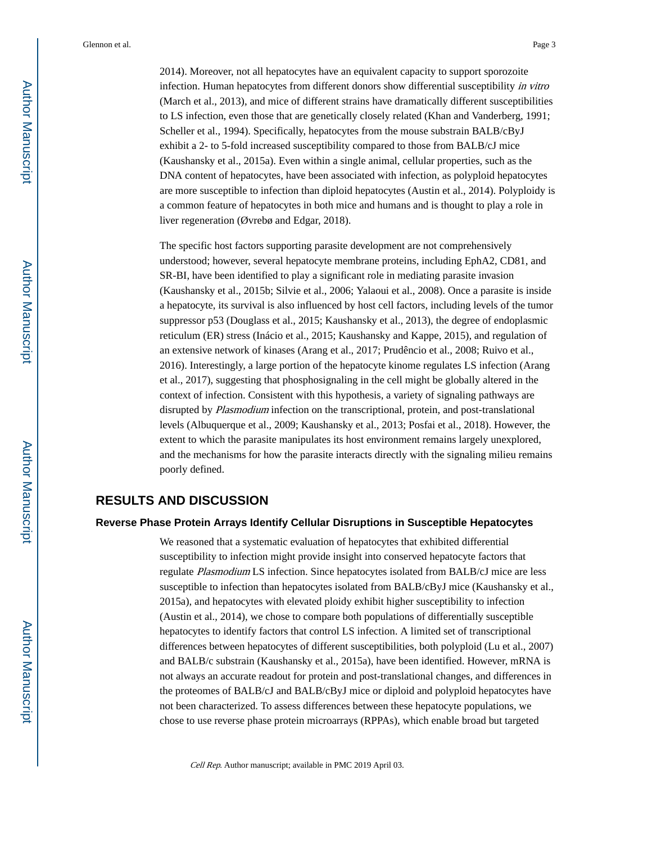2014). Moreover, not all hepatocytes have an equivalent capacity to support sporozoite infection. Human hepatocytes from different donors show differential susceptibility in vitro (March et al., 2013), and mice of different strains have dramatically different susceptibilities to LS infection, even those that are genetically closely related (Khan and Vanderberg, 1991; Scheller et al., 1994). Specifically, hepatocytes from the mouse substrain BALB/cByJ exhibit a 2- to 5-fold increased susceptibility compared to those from BALB/cJ mice (Kaushansky et al., 2015a). Even within a single animal, cellular properties, such as the DNA content of hepatocytes, have been associated with infection, as polyploid hepatocytes are more susceptible to infection than diploid hepatocytes (Austin et al., 2014). Polyploidy is a common feature of hepatocytes in both mice and humans and is thought to play a role in liver regeneration (Øvrebø and Edgar, 2018).

The specific host factors supporting parasite development are not comprehensively understood; however, several hepatocyte membrane proteins, including EphA2, CD81, and SR-BI, have been identified to play a significant role in mediating parasite invasion (Kaushansky et al., 2015b; Silvie et al., 2006; Yalaoui et al., 2008). Once a parasite is inside a hepatocyte, its survival is also influenced by host cell factors, including levels of the tumor suppressor p53 (Douglass et al., 2015; Kaushansky et al., 2013), the degree of endoplasmic reticulum (ER) stress (Inácio et al., 2015; Kaushansky and Kappe, 2015), and regulation of an extensive network of kinases (Arang et al., 2017; Prudêncio et al., 2008; Ruivo et al., 2016). Interestingly, a large portion of the hepatocyte kinome regulates LS infection (Arang et al., 2017), suggesting that phosphosignaling in the cell might be globally altered in the context of infection. Consistent with this hypothesis, a variety of signaling pathways are disrupted by *Plasmodium* infection on the transcriptional, protein, and post-translational levels (Albuquerque et al., 2009; Kaushansky et al., 2013; Posfai et al., 2018). However, the extent to which the parasite manipulates its host environment remains largely unexplored, and the mechanisms for how the parasite interacts directly with the signaling milieu remains poorly defined.

## **RESULTS AND DISCUSSION**

#### **Reverse Phase Protein Arrays Identify Cellular Disruptions in Susceptible Hepatocytes**

We reasoned that a systematic evaluation of hepatocytes that exhibited differential susceptibility to infection might provide insight into conserved hepatocyte factors that regulate Plasmodium LS infection. Since hepatocytes isolated from BALB/cJ mice are less susceptible to infection than hepatocytes isolated from BALB/cByJ mice (Kaushansky et al., 2015a), and hepatocytes with elevated ploidy exhibit higher susceptibility to infection (Austin et al., 2014), we chose to compare both populations of differentially susceptible hepatocytes to identify factors that control LS infection. A limited set of transcriptional differences between hepatocytes of different susceptibilities, both polyploid (Lu et al., 2007) and BALB/c substrain (Kaushansky et al., 2015a), have been identified. However, mRNA is not always an accurate readout for protein and post-translational changes, and differences in the proteomes of BALB/cJ and BALB/cByJ mice or diploid and polyploid hepatocytes have not been characterized. To assess differences between these hepatocyte populations, we chose to use reverse phase protein microarrays (RPPAs), which enable broad but targeted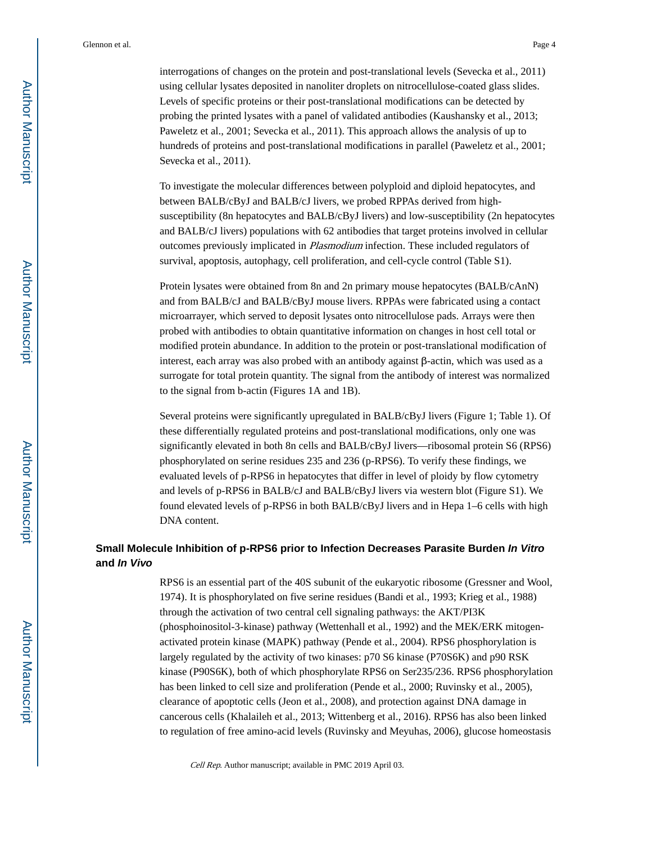interrogations of changes on the protein and post-translational levels (Sevecka et al., 2011) using cellular lysates deposited in nanoliter droplets on nitrocellulose-coated glass slides. Levels of specific proteins or their post-translational modifications can be detected by probing the printed lysates with a panel of validated antibodies (Kaushansky et al., 2013; Paweletz et al., 2001; Sevecka et al., 2011). This approach allows the analysis of up to hundreds of proteins and post-translational modifications in parallel (Paweletz et al., 2001; Sevecka et al., 2011).

To investigate the molecular differences between polyploid and diploid hepatocytes, and between BALB/cByJ and BALB/cJ livers, we probed RPPAs derived from highsusceptibility (8n hepatocytes and BALB/cByJ livers) and low-susceptibility (2n hepatocytes and BALB/cJ livers) populations with 62 antibodies that target proteins involved in cellular outcomes previously implicated in Plasmodium infection. These included regulators of survival, apoptosis, autophagy, cell proliferation, and cell-cycle control (Table S1).

Protein lysates were obtained from 8n and 2n primary mouse hepatocytes (BALB/cAnN) and from BALB/cJ and BALB/cByJ mouse livers. RPPAs were fabricated using a contact microarrayer, which served to deposit lysates onto nitrocellulose pads. Arrays were then probed with antibodies to obtain quantitative information on changes in host cell total or modified protein abundance. In addition to the protein or post-translational modification of interest, each array was also probed with an antibody against  $\beta$ -actin, which was used as a surrogate for total protein quantity. The signal from the antibody of interest was normalized to the signal from b-actin (Figures 1A and 1B).

Several proteins were significantly upregulated in BALB/cByJ livers (Figure 1; Table 1). Of these differentially regulated proteins and post-translational modifications, only one was significantly elevated in both 8n cells and BALB/cByJ livers—ribosomal protein S6 (RPS6) phosphorylated on serine residues 235 and 236 (p-RPS6). To verify these findings, we evaluated levels of p-RPS6 in hepatocytes that differ in level of ploidy by flow cytometry and levels of p-RPS6 in BALB/cJ and BALB/cByJ livers via western blot (Figure S1). We found elevated levels of p-RPS6 in both BALB/cByJ livers and in Hepa 1–6 cells with high DNA content.

## **Small Molecule Inhibition of p-RPS6 prior to Infection Decreases Parasite Burden In Vitro and In Vivo**

RPS6 is an essential part of the 40S subunit of the eukaryotic ribosome (Gressner and Wool, 1974). It is phosphorylated on five serine residues (Bandi et al., 1993; Krieg et al., 1988) through the activation of two central cell signaling pathways: the AKT/PI3K (phosphoinositol-3-kinase) pathway (Wettenhall et al., 1992) and the MEK/ERK mitogenactivated protein kinase (MAPK) pathway (Pende et al., 2004). RPS6 phosphorylation is largely regulated by the activity of two kinases: p70 S6 kinase (P70S6K) and p90 RSK kinase (P90S6K), both of which phosphorylate RPS6 on Ser235/236. RPS6 phosphorylation has been linked to cell size and proliferation (Pende et al., 2000; Ruvinsky et al., 2005), clearance of apoptotic cells (Jeon et al., 2008), and protection against DNA damage in cancerous cells (Khalaileh et al., 2013; Wittenberg et al., 2016). RPS6 has also been linked to regulation of free amino-acid levels (Ruvinsky and Meyuhas, 2006), glucose homeostasis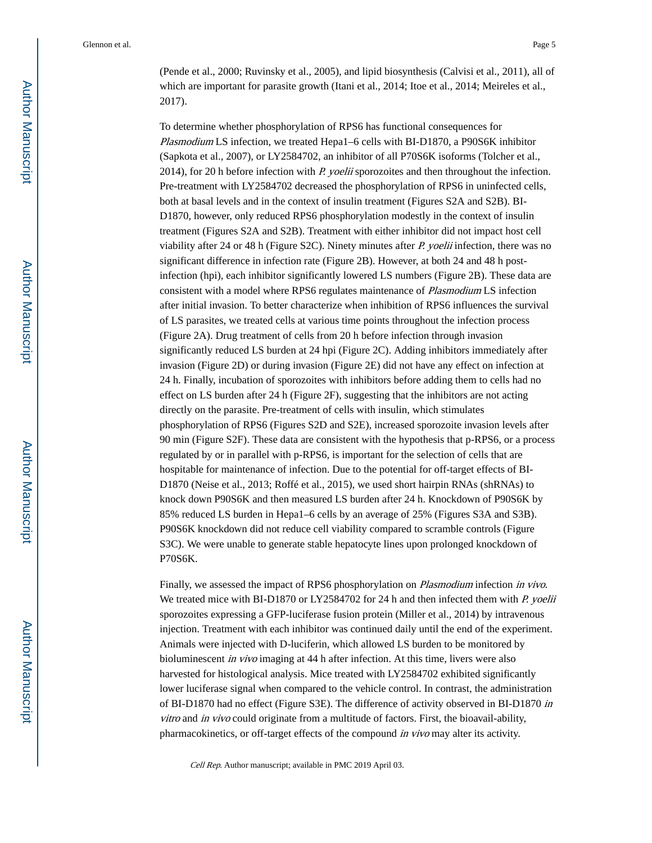(Pende et al., 2000; Ruvinsky et al., 2005), and lipid biosynthesis (Calvisi et al., 2011), all of which are important for parasite growth (Itani et al., 2014; Itoe et al., 2014; Meireles et al., 2017).

To determine whether phosphorylation of RPS6 has functional consequences for Plasmodium LS infection, we treated Hepa1–6 cells with BI-D1870, a P90S6K inhibitor (Sapkota et al., 2007), or LY2584702, an inhibitor of all P70S6K isoforms (Tolcher et al., 2014), for 20 h before infection with P. yoelii sporozoites and then throughout the infection. Pre-treatment with LY2584702 decreased the phosphorylation of RPS6 in uninfected cells, both at basal levels and in the context of insulin treatment (Figures S2A and S2B). BI-D1870, however, only reduced RPS6 phosphorylation modestly in the context of insulin treatment (Figures S2A and S2B). Treatment with either inhibitor did not impact host cell viability after 24 or 48 h (Figure S2C). Ninety minutes after P. yoelii infection, there was no significant difference in infection rate (Figure 2B). However, at both 24 and 48 h postinfection (hpi), each inhibitor significantly lowered LS numbers (Figure 2B). These data are consistent with a model where RPS6 regulates maintenance of Plasmodium LS infection after initial invasion. To better characterize when inhibition of RPS6 influences the survival of LS parasites, we treated cells at various time points throughout the infection process (Figure 2A). Drug treatment of cells from 20 h before infection through invasion significantly reduced LS burden at 24 hpi (Figure 2C). Adding inhibitors immediately after invasion (Figure 2D) or during invasion (Figure 2E) did not have any effect on infection at 24 h. Finally, incubation of sporozoites with inhibitors before adding them to cells had no effect on LS burden after 24 h (Figure 2F), suggesting that the inhibitors are not acting directly on the parasite. Pre-treatment of cells with insulin, which stimulates phosphorylation of RPS6 (Figures S2D and S2E), increased sporozoite invasion levels after 90 min (Figure S2F). These data are consistent with the hypothesis that p-RPS6, or a process regulated by or in parallel with p-RPS6, is important for the selection of cells that are hospitable for maintenance of infection. Due to the potential for off-target effects of BI-D1870 (Neise et al., 2013; Roffé et al., 2015), we used short hairpin RNAs (shRNAs) to knock down P90S6K and then measured LS burden after 24 h. Knockdown of P90S6K by 85% reduced LS burden in Hepa1–6 cells by an average of 25% (Figures S3A and S3B). P90S6K knockdown did not reduce cell viability compared to scramble controls (Figure S3C). We were unable to generate stable hepatocyte lines upon prolonged knockdown of P70S6K.

Finally, we assessed the impact of RPS6 phosphorylation on Plasmodium infection in vivo. We treated mice with BI-D1870 or LY2584702 for 24 h and then infected them with P. yoelii sporozoites expressing a GFP-luciferase fusion protein (Miller et al., 2014) by intravenous injection. Treatment with each inhibitor was continued daily until the end of the experiment. Animals were injected with D-luciferin, which allowed LS burden to be monitored by bioluminescent *in vivo* imaging at 44 h after infection. At this time, livers were also harvested for histological analysis. Mice treated with LY2584702 exhibited significantly lower luciferase signal when compared to the vehicle control. In contrast, the administration of BI-D1870 had no effect (Figure S3E). The difference of activity observed in BI-D1870 in vitro and in vivo could originate from a multitude of factors. First, the bioavail-ability, pharmacokinetics, or off-target effects of the compound in vivo may alter its activity.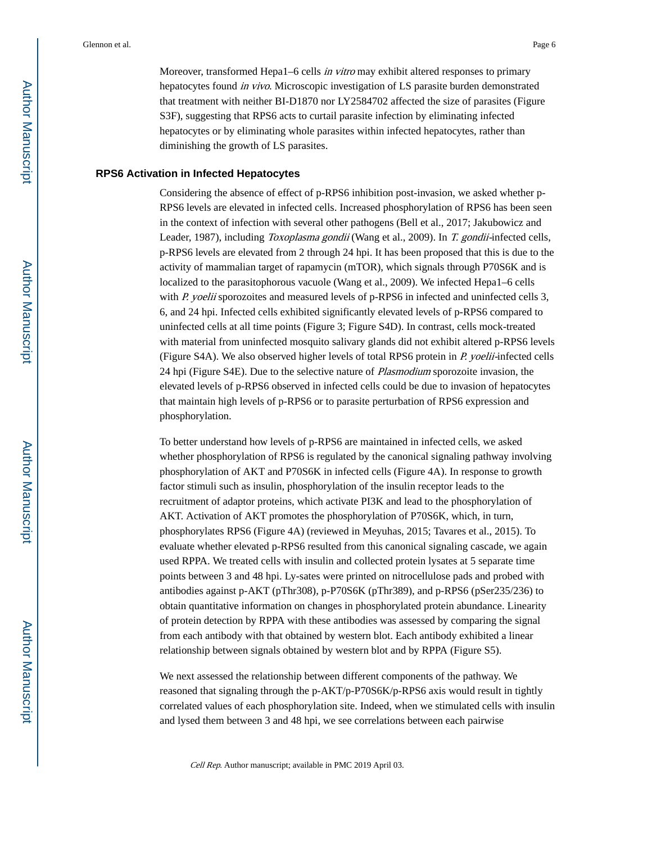Moreover, transformed Hepa1–6 cells *in vitro* may exhibit altered responses to primary hepatocytes found in vivo. Microscopic investigation of LS parasite burden demonstrated that treatment with neither BI-D1870 nor LY2584702 affected the size of parasites (Figure S3F), suggesting that RPS6 acts to curtail parasite infection by eliminating infected hepatocytes or by eliminating whole parasites within infected hepatocytes, rather than diminishing the growth of LS parasites.

#### **RPS6 Activation in Infected Hepatocytes**

Considering the absence of effect of p-RPS6 inhibition post-invasion, we asked whether p-RPS6 levels are elevated in infected cells. Increased phosphorylation of RPS6 has been seen in the context of infection with several other pathogens (Bell et al., 2017; Jakubowicz and Leader, 1987), including Toxoplasma gondii (Wang et al., 2009). In T. gondii-infected cells, p-RPS6 levels are elevated from 2 through 24 hpi. It has been proposed that this is due to the activity of mammalian target of rapamycin (mTOR), which signals through P70S6K and is localized to the parasitophorous vacuole (Wang et al., 2009). We infected Hepa1–6 cells with P. yoelii sporozoites and measured levels of p-RPS6 in infected and uninfected cells  $3$ , 6, and 24 hpi. Infected cells exhibited significantly elevated levels of p-RPS6 compared to uninfected cells at all time points (Figure 3; Figure S4D). In contrast, cells mock-treated with material from uninfected mosquito salivary glands did not exhibit altered p-RPS6 levels (Figure S4A). We also observed higher levels of total RPS6 protein in P. yoelii-infected cells 24 hpi (Figure S4E). Due to the selective nature of *Plasmodium* sporozoite invasion, the elevated levels of p-RPS6 observed in infected cells could be due to invasion of hepatocytes that maintain high levels of p-RPS6 or to parasite perturbation of RPS6 expression and phosphorylation.

To better understand how levels of p-RPS6 are maintained in infected cells, we asked whether phosphorylation of RPS6 is regulated by the canonical signaling pathway involving phosphorylation of AKT and P70S6K in infected cells (Figure 4A). In response to growth factor stimuli such as insulin, phosphorylation of the insulin receptor leads to the recruitment of adaptor proteins, which activate PI3K and lead to the phosphorylation of AKT. Activation of AKT promotes the phosphorylation of P70S6K, which, in turn, phosphorylates RPS6 (Figure 4A) (reviewed in Meyuhas, 2015; Tavares et al., 2015). To evaluate whether elevated p-RPS6 resulted from this canonical signaling cascade, we again used RPPA. We treated cells with insulin and collected protein lysates at 5 separate time points between 3 and 48 hpi. Ly-sates were printed on nitrocellulose pads and probed with antibodies against p-AKT (pThr308), p-P70S6K (pThr389), and p-RPS6 (pSer235/236) to obtain quantitative information on changes in phosphorylated protein abundance. Linearity of protein detection by RPPA with these antibodies was assessed by comparing the signal from each antibody with that obtained by western blot. Each antibody exhibited a linear relationship between signals obtained by western blot and by RPPA (Figure S5).

We next assessed the relationship between different components of the pathway. We reasoned that signaling through the p-AKT/p-P70S6K/p-RPS6 axis would result in tightly correlated values of each phosphorylation site. Indeed, when we stimulated cells with insulin and lysed them between 3 and 48 hpi, we see correlations between each pairwise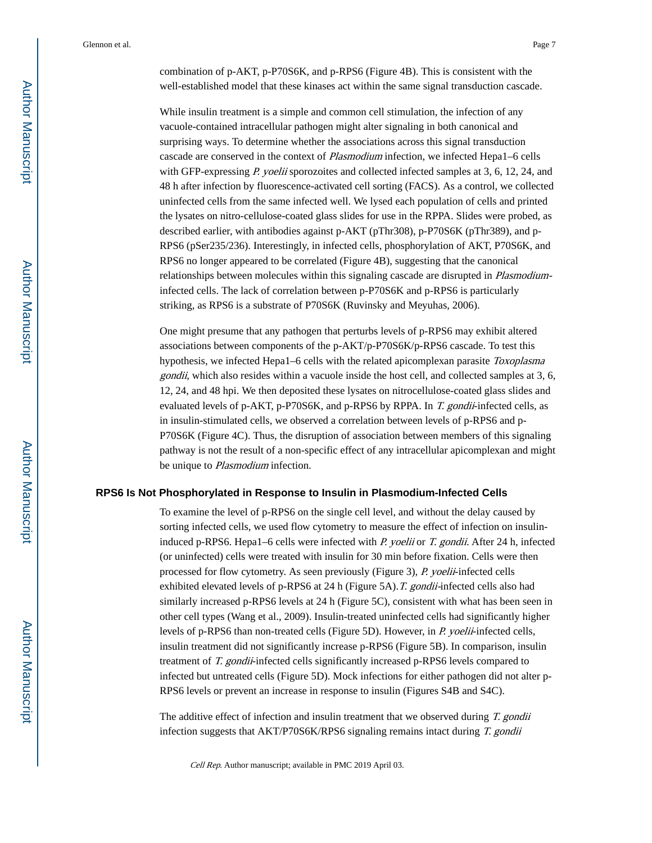combination of p-AKT, p-P70S6K, and p-RPS6 (Figure 4B). This is consistent with the well-established model that these kinases act within the same signal transduction cascade.

While insulin treatment is a simple and common cell stimulation, the infection of any vacuole-contained intracellular pathogen might alter signaling in both canonical and surprising ways. To determine whether the associations across this signal transduction cascade are conserved in the context of Plasmodium infection, we infected Hepa1–6 cells with GFP-expressing P. yoelii sporozoites and collected infected samples at 3, 6, 12, 24, and 48 h after infection by fluorescence-activated cell sorting (FACS). As a control, we collected uninfected cells from the same infected well. We lysed each population of cells and printed the lysates on nitro-cellulose-coated glass slides for use in the RPPA. Slides were probed, as described earlier, with antibodies against p-AKT (pThr308), p-P70S6K (pThr389), and p-RPS6 (pSer235/236). Interestingly, in infected cells, phosphorylation of AKT, P70S6K, and RPS6 no longer appeared to be correlated (Figure 4B), suggesting that the canonical relationships between molecules within this signaling cascade are disrupted in Plasmodiuminfected cells. The lack of correlation between p-P70S6K and p-RPS6 is particularly striking, as RPS6 is a substrate of P70S6K (Ruvinsky and Meyuhas, 2006).

One might presume that any pathogen that perturbs levels of p-RPS6 may exhibit altered associations between components of the p-AKT/p-P70S6K/p-RPS6 cascade. To test this hypothesis, we infected Hepa1–6 cells with the related apicomplexan parasite Toxoplasma gondii, which also resides within a vacuole inside the host cell, and collected samples at 3, 6, 12, 24, and 48 hpi. We then deposited these lysates on nitrocellulose-coated glass slides and evaluated levels of p-AKT, p-P70S6K, and p-RPS6 by RPPA. In  $T$ , gondii-infected cells, as in insulin-stimulated cells, we observed a correlation between levels of p-RPS6 and p-P70S6K (Figure 4C). Thus, the disruption of association between members of this signaling pathway is not the result of a non-specific effect of any intracellular apicomplexan and might be unique to *Plasmodium* infection.

#### **RPS6 Is Not Phosphorylated in Response to Insulin in Plasmodium-Infected Cells**

To examine the level of p-RPS6 on the single cell level, and without the delay caused by sorting infected cells, we used flow cytometry to measure the effect of infection on insulininduced p-RPS6. Hepa1–6 cells were infected with P. yoelii or T. gondii. After 24 h, infected (or uninfected) cells were treated with insulin for 30 min before fixation. Cells were then processed for flow cytometry. As seen previously (Figure 3),  $P$ , yoelii-infected cells exhibited elevated levels of p-RPS6 at 24 h (Figure 5A).T. gondii-infected cells also had similarly increased p-RPS6 levels at 24 h (Figure 5C), consistent with what has been seen in other cell types (Wang et al., 2009). Insulin-treated uninfected cells had significantly higher levels of p-RPS6 than non-treated cells (Figure 5D). However, in P. yoelii-infected cells, insulin treatment did not significantly increase p-RPS6 (Figure 5B). In comparison, insulin treatment of T. gondii-infected cells significantly increased p-RPS6 levels compared to infected but untreated cells (Figure 5D). Mock infections for either pathogen did not alter p-RPS6 levels or prevent an increase in response to insulin (Figures S4B and S4C).

The additive effect of infection and insulin treatment that we observed during T. gondii infection suggests that AKT/P70S6K/RPS6 signaling remains intact during T. gondii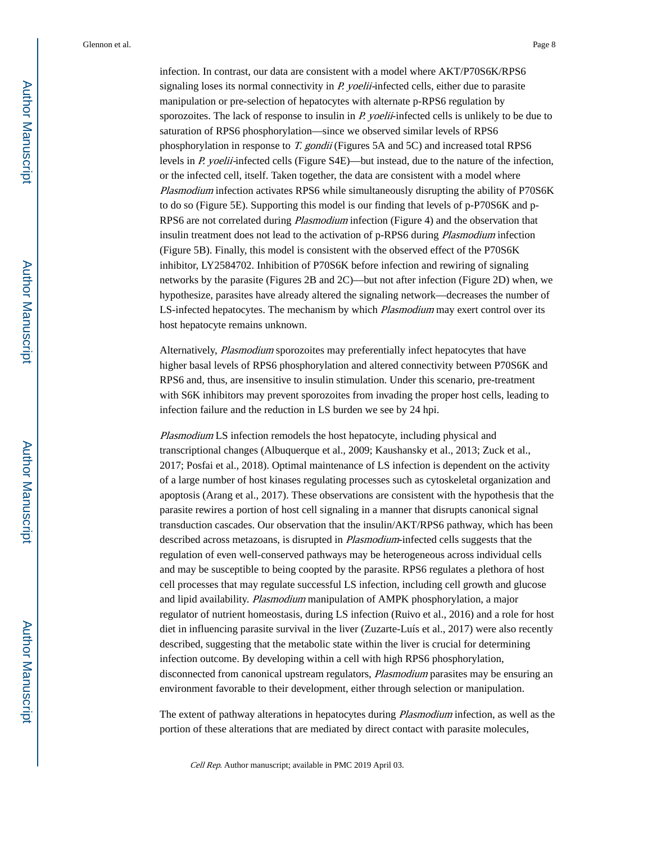infection. In contrast, our data are consistent with a model where AKT/P70S6K/RPS6 signaling loses its normal connectivity in *P. yoelii*-infected cells, either due to parasite manipulation or pre-selection of hepatocytes with alternate p-RPS6 regulation by sporozoites. The lack of response to insulin in P. yoelii-infected cells is unlikely to be due to saturation of RPS6 phosphorylation—since we observed similar levels of RPS6 phosphorylation in response to T. gondii (Figures 5A and 5C) and increased total RPS6 levels in P. yoelii-infected cells (Figure S4E)—but instead, due to the nature of the infection, or the infected cell, itself. Taken together, the data are consistent with a model where Plasmodium infection activates RPS6 while simultaneously disrupting the ability of P70S6K to do so (Figure 5E). Supporting this model is our finding that levels of p-P70S6K and p-RPS6 are not correlated during Plasmodium infection (Figure 4) and the observation that insulin treatment does not lead to the activation of p-RPS6 during *Plasmodium* infection (Figure 5B). Finally, this model is consistent with the observed effect of the P70S6K inhibitor, LY2584702. Inhibition of P70S6K before infection and rewiring of signaling networks by the parasite (Figures 2B and 2C)—but not after infection (Figure 2D) when, we hypothesize, parasites have already altered the signaling network—decreases the number of LS-infected hepatocytes. The mechanism by which *Plasmodium* may exert control over its host hepatocyte remains unknown.

Alternatively, Plasmodium sporozoites may preferentially infect hepatocytes that have higher basal levels of RPS6 phosphorylation and altered connectivity between P70S6K and RPS6 and, thus, are insensitive to insulin stimulation. Under this scenario, pre-treatment with S6K inhibitors may prevent sporozoites from invading the proper host cells, leading to infection failure and the reduction in LS burden we see by 24 hpi.

Plasmodium LS infection remodels the host hepatocyte, including physical and transcriptional changes (Albuquerque et al., 2009; Kaushansky et al., 2013; Zuck et al., 2017; Posfai et al., 2018). Optimal maintenance of LS infection is dependent on the activity of a large number of host kinases regulating processes such as cytoskeletal organization and apoptosis (Arang et al., 2017). These observations are consistent with the hypothesis that the parasite rewires a portion of host cell signaling in a manner that disrupts canonical signal transduction cascades. Our observation that the insulin/AKT/RPS6 pathway, which has been described across metazoans, is disrupted in *Plasmodium*-infected cells suggests that the regulation of even well-conserved pathways may be heterogeneous across individual cells and may be susceptible to being coopted by the parasite. RPS6 regulates a plethora of host cell processes that may regulate successful LS infection, including cell growth and glucose and lipid availability. Plasmodium manipulation of AMPK phosphorylation, a major regulator of nutrient homeostasis, during LS infection (Ruivo et al., 2016) and a role for host diet in influencing parasite survival in the liver (Zuzarte-Luís et al., 2017) were also recently described, suggesting that the metabolic state within the liver is crucial for determining infection outcome. By developing within a cell with high RPS6 phosphorylation, disconnected from canonical upstream regulators, *Plasmodium* parasites may be ensuring an environment favorable to their development, either through selection or manipulation.

The extent of pathway alterations in hepatocytes during *Plasmodium* infection, as well as the portion of these alterations that are mediated by direct contact with parasite molecules,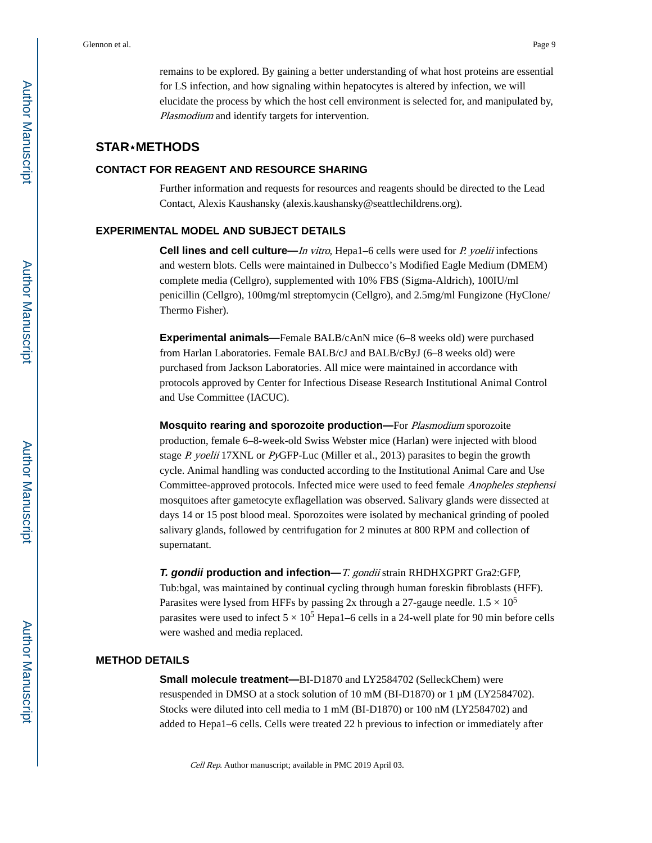remains to be explored. By gaining a better understanding of what host proteins are essential for LS infection, and how signaling within hepatocytes is altered by infection, we will elucidate the process by which the host cell environment is selected for, and manipulated by, Plasmodium and identify targets for intervention.

## **STAR**⋆**METHODS**

### **CONTACT FOR REAGENT AND RESOURCE SHARING**

Further information and requests for resources and reagents should be directed to the Lead Contact, Alexis Kaushansky (alexis.kaushansky@seattlechildrens.org).

### **EXPERIMENTAL MODEL AND SUBJECT DETAILS**

**Cell lines and cell culture—***In vitro*, Hepa1–6 cells were used for *P. yoelii* infections and western blots. Cells were maintained in Dulbecco's Modified Eagle Medium (DMEM) complete media (Cellgro), supplemented with 10% FBS (Sigma-Aldrich), 100IU/ml penicillin (Cellgro), 100mg/ml streptomycin (Cellgro), and 2.5mg/ml Fungizone (HyClone/ Thermo Fisher).

**Experimental animals—**Female BALB/cAnN mice (6–8 weeks old) were purchased from Harlan Laboratories. Female BALB/cJ and BALB/cByJ (6–8 weeks old) were purchased from Jackson Laboratories. All mice were maintained in accordance with protocols approved by Center for Infectious Disease Research Institutional Animal Control and Use Committee (IACUC).

**Mosquito rearing and sporozoite production—**For Plasmodium sporozoite production, female 6–8-week-old Swiss Webster mice (Harlan) were injected with blood stage  $P$ . yoelii 17XNL or  $P$ yGFP-Luc (Miller et al., 2013) parasites to begin the growth cycle. Animal handling was conducted according to the Institutional Animal Care and Use Committee-approved protocols. Infected mice were used to feed female Anopheles stephensi mosquitoes after gametocyte exflagellation was observed. Salivary glands were dissected at days 14 or 15 post blood meal. Sporozoites were isolated by mechanical grinding of pooled salivary glands, followed by centrifugation for 2 minutes at 800 RPM and collection of supernatant.

**T. gondii production and infection—**T. gondii strain RHDHXGPRT Gra2:GFP, Tub:bgal, was maintained by continual cycling through human foreskin fibroblasts (HFF). Parasites were lysed from HFFs by passing 2x through a 27-gauge needle.  $1.5 \times 10^5$ parasites were used to infect  $5 \times 10^5$  Hepa1–6 cells in a 24-well plate for 90 min before cells were washed and media replaced.

#### **METHOD DETAILS**

**Small molecule treatment—BI-D1870 and LY2584702 (SelleckChem) were** resuspended in DMSO at a stock solution of 10 mM (BI-D1870) or 1 μM (LY2584702). Stocks were diluted into cell media to 1 mM (BI-D1870) or 100 nM (LY2584702) and added to Hepa1–6 cells. Cells were treated 22 h previous to infection or immediately after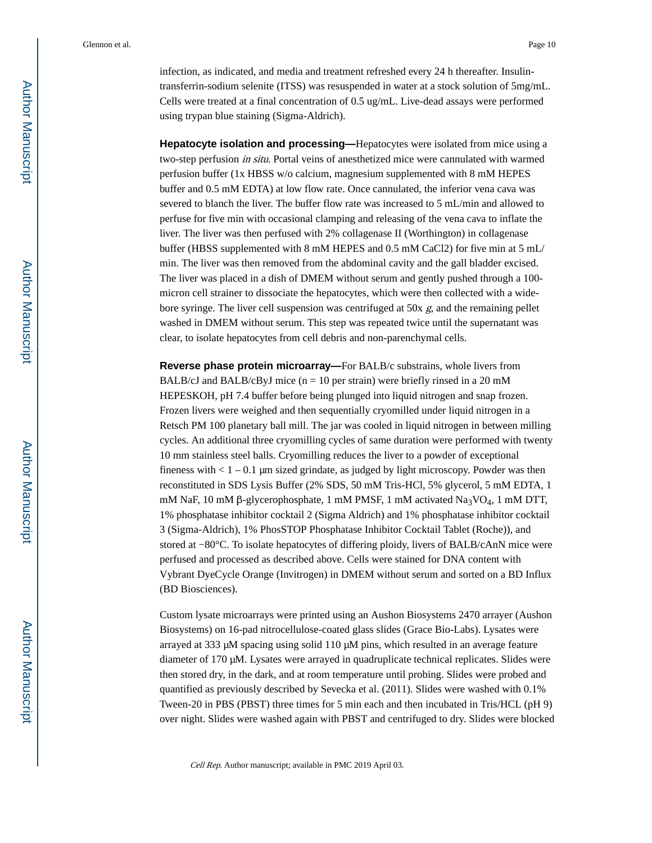infection, as indicated, and media and treatment refreshed every 24 h thereafter. Insulintransferrin-sodium selenite (ITSS) was resuspended in water at a stock solution of 5mg/mL. Cells were treated at a final concentration of 0.5 ug/mL. Live-dead assays were performed using trypan blue staining (Sigma-Aldrich).

**Hepatocyte isolation and processing—**Hepatocytes were isolated from mice using a two-step perfusion in situ. Portal veins of anesthetized mice were cannulated with warmed perfusion buffer (1x HBSS w/o calcium, magnesium supplemented with 8 mM HEPES buffer and 0.5 mM EDTA) at low flow rate. Once cannulated, the inferior vena cava was severed to blanch the liver. The buffer flow rate was increased to 5 mL/min and allowed to perfuse for five min with occasional clamping and releasing of the vena cava to inflate the liver. The liver was then perfused with 2% collagenase II (Worthington) in collagenase buffer (HBSS supplemented with 8 mM HEPES and 0.5 mM CaCl2) for five min at 5 mL/ min. The liver was then removed from the abdominal cavity and the gall bladder excised. The liver was placed in a dish of DMEM without serum and gently pushed through a 100 micron cell strainer to dissociate the hepatocytes, which were then collected with a widebore syringe. The liver cell suspension was centrifuged at 50x  $g$ , and the remaining pellet washed in DMEM without serum. This step was repeated twice until the supernatant was clear, to isolate hepatocytes from cell debris and non-parenchymal cells.

**Reverse phase protein microarray—**For BALB/c substrains, whole livers from BALB/cJ and BALB/cByJ mice  $(n = 10$  per strain) were briefly rinsed in a 20 mM HEPESKOH, pH 7.4 buffer before being plunged into liquid nitrogen and snap frozen. Frozen livers were weighed and then sequentially cryomilled under liquid nitrogen in a Retsch PM 100 planetary ball mill. The jar was cooled in liquid nitrogen in between milling cycles. An additional three cryomilling cycles of same duration were performed with twenty 10 mm stainless steel balls. Cryomilling reduces the liver to a powder of exceptional fineness with  $< 1 - 0.1$  µm sized grindate, as judged by light microscopy. Powder was then reconstituted in SDS Lysis Buffer (2% SDS, 50 mM Tris-HCl, 5% glycerol, 5 mM EDTA, 1 mM NaF, 10 mM β-glycerophosphate, 1 mM PMSF, 1 mM activated Na<sub>3</sub>VO<sub>4</sub>, 1 mM DTT, 1% phosphatase inhibitor cocktail 2 (Sigma Aldrich) and 1% phosphatase inhibitor cocktail 3 (Sigma-Aldrich), 1% PhosSTOP Phosphatase Inhibitor Cocktail Tablet (Roche)), and stored at −80°C. To isolate hepatocytes of differing ploidy, livers of BALB/cAnN mice were perfused and processed as described above. Cells were stained for DNA content with Vybrant DyeCycle Orange (Invitrogen) in DMEM without serum and sorted on a BD Influx (BD Biosciences).

Custom lysate microarrays were printed using an Aushon Biosystems 2470 arrayer (Aushon Biosystems) on 16-pad nitrocellulose-coated glass slides (Grace Bio-Labs). Lysates were arrayed at 333 μM spacing using solid 110 μM pins, which resulted in an average feature diameter of 170 μM. Lysates were arrayed in quadruplicate technical replicates. Slides were then stored dry, in the dark, and at room temperature until probing. Slides were probed and quantified as previously described by Sevecka et al. (2011). Slides were washed with 0.1% Tween-20 in PBS (PBST) three times for 5 min each and then incubated in Tris/HCL (pH 9) over night. Slides were washed again with PBST and centrifuged to dry. Slides were blocked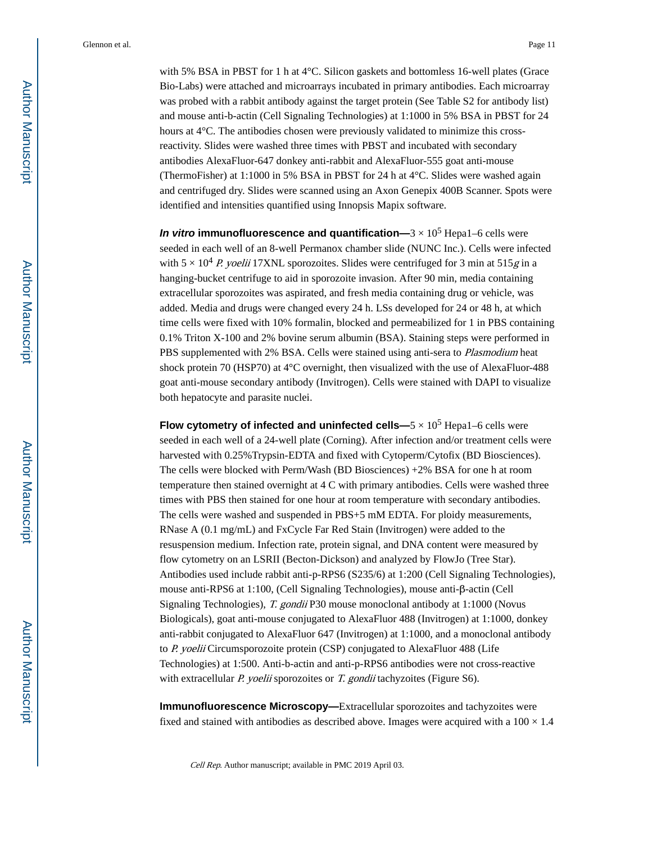with 5% BSA in PBST for 1 h at 4°C. Silicon gaskets and bottomless 16-well plates (Grace Bio-Labs) were attached and microarrays incubated in primary antibodies. Each microarray was probed with a rabbit antibody against the target protein (See Table S2 for antibody list) and mouse anti-b-actin (Cell Signaling Technologies) at 1:1000 in 5% BSA in PBST for 24 hours at 4°C. The antibodies chosen were previously validated to minimize this crossreactivity. Slides were washed three times with PBST and incubated with secondary antibodies AlexaFluor-647 donkey anti-rabbit and AlexaFluor-555 goat anti-mouse (ThermoFisher) at 1:1000 in 5% BSA in PBST for 24 h at 4°C. Slides were washed again and centrifuged dry. Slides were scanned using an Axon Genepix 400B Scanner. Spots were identified and intensities quantified using Innopsis Mapix software.

**In vitro immunofluorescence and quantification—** $3 \times 10^5$  **Hepa1–6 cells were** seeded in each well of an 8-well Permanox chamber slide (NUNC Inc.). Cells were infected with  $5 \times 10^4$  P. yoelii 17XNL sporozoites. Slides were centrifuged for 3 min at 515g in a hanging-bucket centrifuge to aid in sporozoite invasion. After 90 min, media containing extracellular sporozoites was aspirated, and fresh media containing drug or vehicle, was added. Media and drugs were changed every 24 h. LSs developed for 24 or 48 h, at which time cells were fixed with 10% formalin, blocked and permeabilized for 1 in PBS containing 0.1% Triton X-100 and 2% bovine serum albumin (BSA). Staining steps were performed in PBS supplemented with 2% BSA. Cells were stained using anti-sera to Plasmodium heat shock protein 70 (HSP70) at 4°C overnight, then visualized with the use of AlexaFluor-488 goat anti-mouse secondary antibody (Invitrogen). Cells were stained with DAPI to visualize both hepatocyte and parasite nuclei.

**Flow cytometry of infected and uninfected cells—** $5 \times 10^5$  **Hepa1–6 cells were** seeded in each well of a 24-well plate (Corning). After infection and/or treatment cells were harvested with 0.25% Trypsin-EDTA and fixed with Cytoperm/Cytofix (BD Biosciences). The cells were blocked with Perm/Wash (BD Biosciences) +2% BSA for one h at room temperature then stained overnight at 4 C with primary antibodies. Cells were washed three times with PBS then stained for one hour at room temperature with secondary antibodies. The cells were washed and suspended in PBS+5 mM EDTA. For ploidy measurements, RNase A (0.1 mg/mL) and FxCycle Far Red Stain (Invitrogen) were added to the resuspension medium. Infection rate, protein signal, and DNA content were measured by flow cytometry on an LSRII (Becton-Dickson) and analyzed by FlowJo (Tree Star). Antibodies used include rabbit anti-p-RPS6 (S235/6) at 1:200 (Cell Signaling Technologies), mouse anti-RPS6 at 1:100, (Cell Signaling Technologies), mouse anti-β-actin (Cell Signaling Technologies), T. gondii P30 mouse monoclonal antibody at 1:1000 (Novus Biologicals), goat anti-mouse conjugated to AlexaFluor 488 (Invitrogen) at 1:1000, donkey anti-rabbit conjugated to AlexaFluor 647 (Invitrogen) at 1:1000, and a monoclonal antibody to P. yoelii Circumsporozoite protein (CSP) conjugated to AlexaFluor 488 (Life Technologies) at 1:500. Anti-b-actin and anti-p-RPS6 antibodies were not cross-reactive with extracellular P. yoelii sporozoites or T. gondii tachyzoites (Figure S6).

**Immunofluorescence Microscopy—Extracellular sporozoites and tachyzoites were** fixed and stained with antibodies as described above. Images were acquired with a  $100 \times 1.4$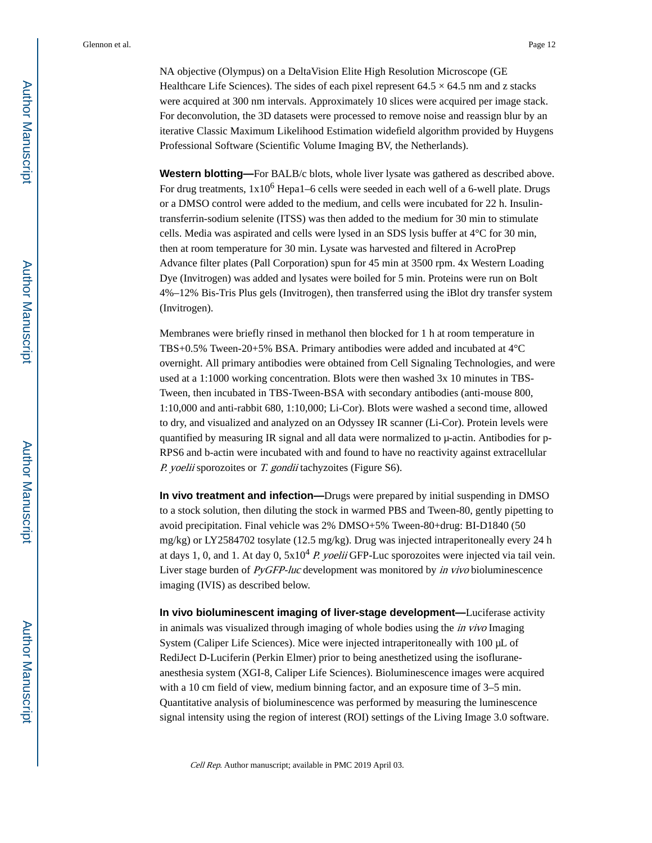NA objective (Olympus) on a DeltaVision Elite High Resolution Microscope (GE Healthcare Life Sciences). The sides of each pixel represent  $64.5 \times 64.5$  nm and z stacks were acquired at 300 nm intervals. Approximately 10 slices were acquired per image stack. For deconvolution, the 3D datasets were processed to remove noise and reassign blur by an iterative Classic Maximum Likelihood Estimation widefield algorithm provided by Huygens Professional Software (Scientific Volume Imaging BV, the Netherlands).

**Western blotting—**For BALB/c blots, whole liver lysate was gathered as described above. For drug treatments, 1x10<sup>6</sup> Hepa1–6 cells were seeded in each well of a 6-well plate. Drugs or a DMSO control were added to the medium, and cells were incubated for 22 h. Insulintransferrin-sodium selenite (ITSS) was then added to the medium for 30 min to stimulate cells. Media was aspirated and cells were lysed in an SDS lysis buffer at 4°C for 30 min, then at room temperature for 30 min. Lysate was harvested and filtered in AcroPrep Advance filter plates (Pall Corporation) spun for 45 min at 3500 rpm. 4x Western Loading Dye (Invitrogen) was added and lysates were boiled for 5 min. Proteins were run on Bolt 4%–12% Bis-Tris Plus gels (Invitrogen), then transferred using the iBlot dry transfer system (Invitrogen).

Membranes were briefly rinsed in methanol then blocked for 1 h at room temperature in TBS+0.5% Tween-20+5% BSA. Primary antibodies were added and incubated at 4°C overnight. All primary antibodies were obtained from Cell Signaling Technologies, and were used at a 1:1000 working concentration. Blots were then washed 3x 10 minutes in TBS-Tween, then incubated in TBS-Tween-BSA with secondary antibodies (anti-mouse 800, 1:10,000 and anti-rabbit 680, 1:10,000; Li-Cor). Blots were washed a second time, allowed to dry, and visualized and analyzed on an Odyssey IR scanner (Li-Cor). Protein levels were quantified by measuring IR signal and all data were normalized to μ-actin. Antibodies for p-RPS6 and b-actin were incubated with and found to have no reactivity against extracellular P. yoelii sporozoites or T. gondii tachyzoites (Figure S6).

**In vivo treatment and infection—**Drugs were prepared by initial suspending in DMSO to a stock solution, then diluting the stock in warmed PBS and Tween-80, gently pipetting to avoid precipitation. Final vehicle was 2% DMSO+5% Tween-80+drug: BI-D1840 (50 mg/kg) or LY2584702 tosylate (12.5 mg/kg). Drug was injected intraperitoneally every 24 h at days 1, 0, and 1. At day 0,  $5x10<sup>4</sup> P$ . *yoelii* GFP-Luc sporozoites were injected via tail vein. Liver stage burden of PyGFP-luc development was monitored by in vivo bioluminescence imaging (IVIS) as described below.

**In vivo bioluminescent imaging of liver-stage development—**Luciferase activity in animals was visualized through imaging of whole bodies using the in vivo Imaging System (Caliper Life Sciences). Mice were injected intraperitoneally with 100 μL of RediJect D-Luciferin (Perkin Elmer) prior to being anesthetized using the isofluraneanesthesia system (XGI-8, Caliper Life Sciences). Bioluminescence images were acquired with a 10 cm field of view, medium binning factor, and an exposure time of 3–5 min. Quantitative analysis of bioluminescence was performed by measuring the luminescence signal intensity using the region of interest (ROI) settings of the Living Image 3.0 software.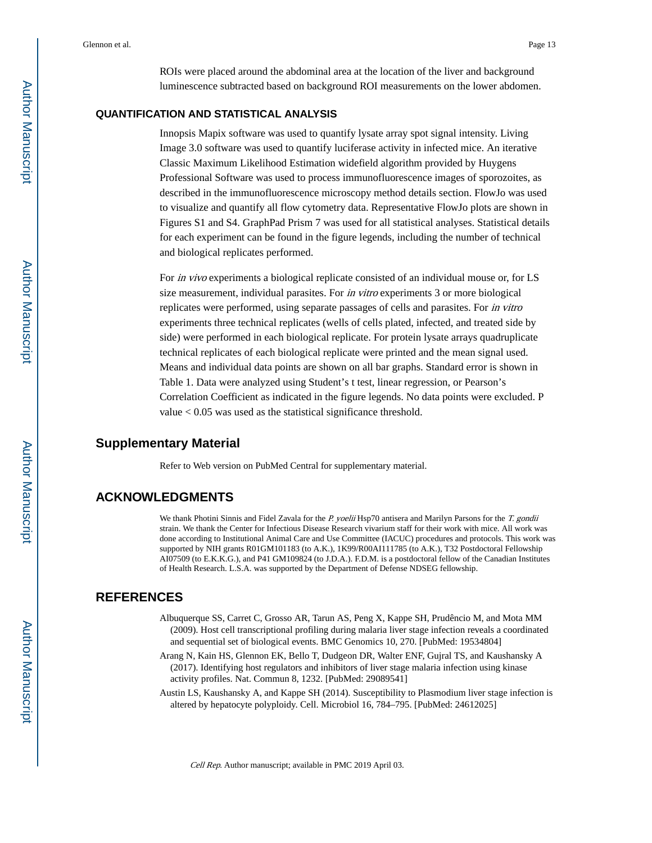ROIs were placed around the abdominal area at the location of the liver and background luminescence subtracted based on background ROI measurements on the lower abdomen.

## **QUANTIFICATION AND STATISTICAL ANALYSIS**

Innopsis Mapix software was used to quantify lysate array spot signal intensity. Living Image 3.0 software was used to quantify luciferase activity in infected mice. An iterative Classic Maximum Likelihood Estimation widefield algorithm provided by Huygens Professional Software was used to process immunofluorescence images of sporozoites, as described in the immunofluorescence microscopy method details section. FlowJo was used to visualize and quantify all flow cytometry data. Representative FlowJo plots are shown in Figures S1 and S4. GraphPad Prism 7 was used for all statistical analyses. Statistical details for each experiment can be found in the figure legends, including the number of technical and biological replicates performed.

For in vivo experiments a biological replicate consisted of an individual mouse or, for LS size measurement, individual parasites. For in vitro experiments 3 or more biological replicates were performed, using separate passages of cells and parasites. For in vitro experiments three technical replicates (wells of cells plated, infected, and treated side by side) were performed in each biological replicate. For protein lysate arrays quadruplicate technical replicates of each biological replicate were printed and the mean signal used. Means and individual data points are shown on all bar graphs. Standard error is shown in Table 1. Data were analyzed using Student's t test, linear regression, or Pearson's Correlation Coefficient as indicated in the figure legends. No data points were excluded. P value < 0.05 was used as the statistical significance threshold.

### **Supplementary Material**

Refer to Web version on PubMed Central for supplementary material.

## **ACKNOWLEDGMENTS**

We thank Photini Sinnis and Fidel Zavala for the P. yoelii Hsp70 antisera and Marilyn Parsons for the T. gondii strain. We thank the Center for Infectious Disease Research vivarium staff for their work with mice. All work was done according to Institutional Animal Care and Use Committee (IACUC) procedures and protocols. This work was supported by NIH grants R01GM101183 (to A.K.), 1K99/R00AI111785 (to A.K.), T32 Postdoctoral Fellowship AI07509 (to E.K.K.G.), and P41 GM109824 (to J.D.A.). F.D.M. is a postdoctoral fellow of the Canadian Institutes of Health Research. L.S.A. was supported by the Department of Defense NDSEG fellowship.

## **REFERENCES**

- Albuquerque SS, Carret C, Grosso AR, Tarun AS, Peng X, Kappe SH, Prudêncio M, and Mota MM (2009). Host cell transcriptional profiling during malaria liver stage infection reveals a coordinated and sequential set of biological events. BMC Genomics 10, 270. [PubMed: 19534804]
- Arang N, Kain HS, Glennon EK, Bello T, Dudgeon DR, Walter ENF, Gujral TS, and Kaushansky A (2017). Identifying host regulators and inhibitors of liver stage malaria infection using kinase activity profiles. Nat. Commun 8, 1232. [PubMed: 29089541]
- Austin LS, Kaushansky A, and Kappe SH (2014). Susceptibility to Plasmodium liver stage infection is altered by hepatocyte polyploidy. Cell. Microbiol 16, 784–795. [PubMed: 24612025]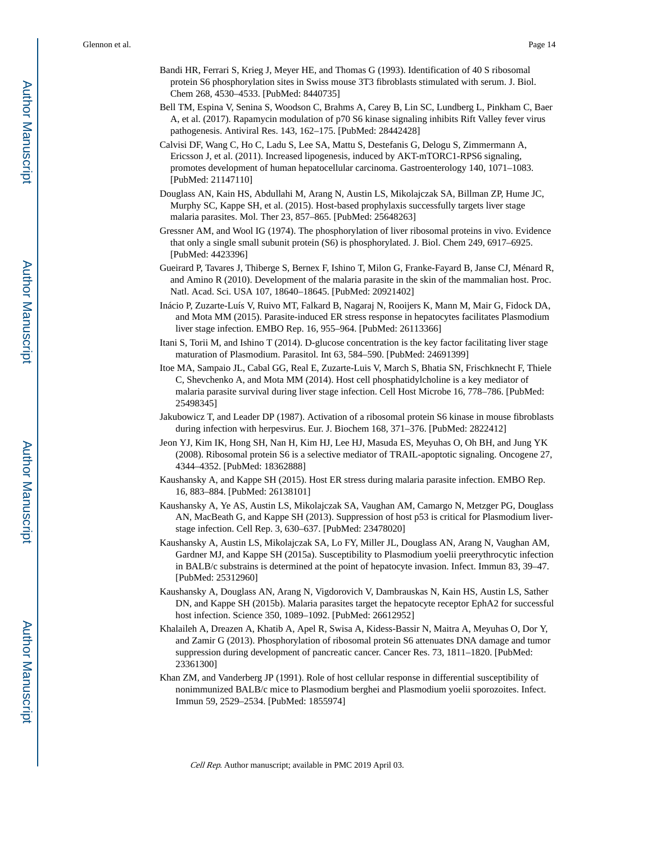- Bandi HR, Ferrari S, Krieg J, Meyer HE, and Thomas G (1993). Identification of 40 S ribosomal protein S6 phosphorylation sites in Swiss mouse 3T3 fibroblasts stimulated with serum. J. Biol. Chem 268, 4530–4533. [PubMed: 8440735]
- Bell TM, Espina V, Senina S, Woodson C, Brahms A, Carey B, Lin SC, Lundberg L, Pinkham C, Baer A, et al. (2017). Rapamycin modulation of p70 S6 kinase signaling inhibits Rift Valley fever virus pathogenesis. Antiviral Res. 143, 162–175. [PubMed: 28442428]
- Calvisi DF, Wang C, Ho C, Ladu S, Lee SA, Mattu S, Destefanis G, Delogu S, Zimmermann A, Ericsson J, et al. (2011). Increased lipogenesis, induced by AKT-mTORC1-RPS6 signaling, promotes development of human hepatocellular carcinoma. Gastroenterology 140, 1071–1083. [PubMed: 21147110]
- Douglass AN, Kain HS, Abdullahi M, Arang N, Austin LS, Mikolajczak SA, Billman ZP, Hume JC, Murphy SC, Kappe SH, et al. (2015). Host-based prophylaxis successfully targets liver stage malaria parasites. Mol. Ther 23, 857–865. [PubMed: 25648263]
- Gressner AM, and Wool IG (1974). The phosphorylation of liver ribosomal proteins in vivo. Evidence that only a single small subunit protein (S6) is phosphorylated. J. Biol. Chem 249, 6917–6925. [PubMed: 4423396]
- Gueirard P, Tavares J, Thiberge S, Bernex F, Ishino T, Milon G, Franke-Fayard B, Janse CJ, Ménard R, and Amino R (2010). Development of the malaria parasite in the skin of the mammalian host. Proc. Natl. Acad. Sci. USA 107, 18640–18645. [PubMed: 20921402]
- Inácio P, Zuzarte-Luís V, Ruivo MT, Falkard B, Nagaraj N, Rooijers K, Mann M, Mair G, Fidock DA, and Mota MM (2015). Parasite-induced ER stress response in hepatocytes facilitates Plasmodium liver stage infection. EMBO Rep. 16, 955–964. [PubMed: 26113366]
- Itani S, Torii M, and Ishino T (2014). D-glucose concentration is the key factor facilitating liver stage maturation of Plasmodium. Parasitol. Int 63, 584–590. [PubMed: 24691399]
- Itoe MA, Sampaio JL, Cabal GG, Real E, Zuzarte-Luis V, March S, Bhatia SN, Frischknecht F, Thiele C, Shevchenko A, and Mota MM (2014). Host cell phosphatidylcholine is a key mediator of malaria parasite survival during liver stage infection. Cell Host Microbe 16, 778–786. [PubMed: 25498345]
- Jakubowicz T, and Leader DP (1987). Activation of a ribosomal protein S6 kinase in mouse fibroblasts during infection with herpesvirus. Eur. J. Biochem 168, 371–376. [PubMed: 2822412]
- Jeon YJ, Kim IK, Hong SH, Nan H, Kim HJ, Lee HJ, Masuda ES, Meyuhas O, Oh BH, and Jung YK (2008). Ribosomal protein S6 is a selective mediator of TRAIL-apoptotic signaling. Oncogene 27, 4344–4352. [PubMed: 18362888]
- Kaushansky A, and Kappe SH (2015). Host ER stress during malaria parasite infection. EMBO Rep. 16, 883–884. [PubMed: 26138101]
- Kaushansky A, Ye AS, Austin LS, Mikolajczak SA, Vaughan AM, Camargo N, Metzger PG, Douglass AN, MacBeath G, and Kappe SH (2013). Suppression of host p53 is critical for Plasmodium liverstage infection. Cell Rep. 3, 630–637. [PubMed: 23478020]
- Kaushansky A, Austin LS, Mikolajczak SA, Lo FY, Miller JL, Douglass AN, Arang N, Vaughan AM, Gardner MJ, and Kappe SH (2015a). Susceptibility to Plasmodium yoelii preerythrocytic infection in BALB/c substrains is determined at the point of hepatocyte invasion. Infect. Immun 83, 39–47. [PubMed: 25312960]
- Kaushansky A, Douglass AN, Arang N, Vigdorovich V, Dambrauskas N, Kain HS, Austin LS, Sather DN, and Kappe SH (2015b). Malaria parasites target the hepatocyte receptor EphA2 for successful host infection. Science 350, 1089–1092. [PubMed: 26612952]
- Khalaileh A, Dreazen A, Khatib A, Apel R, Swisa A, Kidess-Bassir N, Maitra A, Meyuhas O, Dor Y, and Zamir G (2013). Phosphorylation of ribosomal protein S6 attenuates DNA damage and tumor suppression during development of pancreatic cancer. Cancer Res. 73, 1811–1820. [PubMed: 23361300]
- Khan ZM, and Vanderberg JP (1991). Role of host cellular response in differential susceptibility of nonimmunized BALB/c mice to Plasmodium berghei and Plasmodium yoelii sporozoites. Infect. Immun 59, 2529–2534. [PubMed: 1855974]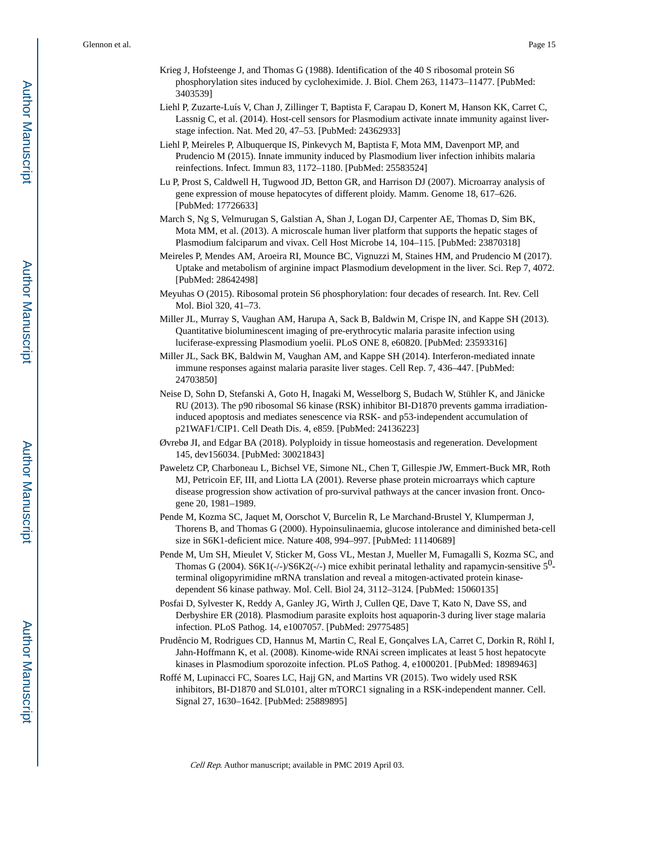- Krieg J, Hofsteenge J, and Thomas G (1988). Identification of the 40 S ribosomal protein S6 phosphorylation sites induced by cycloheximide. J. Biol. Chem 263, 11473–11477. [PubMed: 3403539]
- Liehl P, Zuzarte-Luís V, Chan J, Zillinger T, Baptista F, Carapau D, Konert M, Hanson KK, Carret C, Lassnig C, et al. (2014). Host-cell sensors for Plasmodium activate innate immunity against liverstage infection. Nat. Med 20, 47–53. [PubMed: 24362933]
- Liehl P, Meireles P, Albuquerque IS, Pinkevych M, Baptista F, Mota MM, Davenport MP, and Prudencio M (2015). Innate immunity induced by Plasmodium liver infection inhibits malaria reinfections. Infect. Immun 83, 1172–1180. [PubMed: 25583524]
- Lu P, Prost S, Caldwell H, Tugwood JD, Betton GR, and Harrison DJ (2007). Microarray analysis of gene expression of mouse hepatocytes of different ploidy. Mamm. Genome 18, 617–626. [PubMed: 17726633]
- March S, Ng S, Velmurugan S, Galstian A, Shan J, Logan DJ, Carpenter AE, Thomas D, Sim BK, Mota MM, et al. (2013). A microscale human liver platform that supports the hepatic stages of Plasmodium falciparum and vivax. Cell Host Microbe 14, 104–115. [PubMed: 23870318]
- Meireles P, Mendes AM, Aroeira RI, Mounce BC, Vignuzzi M, Staines HM, and Prudencio M (2017). Uptake and metabolism of arginine impact Plasmodium development in the liver. Sci. Rep 7, 4072. [PubMed: 28642498]
- Meyuhas O (2015). Ribosomal protein S6 phosphorylation: four decades of research. Int. Rev. Cell Mol. Biol 320, 41–73.
- Miller JL, Murray S, Vaughan AM, Harupa A, Sack B, Baldwin M, Crispe IN, and Kappe SH (2013). Quantitative bioluminescent imaging of pre-erythrocytic malaria parasite infection using luciferase-expressing Plasmodium yoelii. PLoS ONE 8, e60820. [PubMed: 23593316]
- Miller JL, Sack BK, Baldwin M, Vaughan AM, and Kappe SH (2014). Interferon-mediated innate immune responses against malaria parasite liver stages. Cell Rep. 7, 436–447. [PubMed: 24703850]
- Neise D, Sohn D, Stefanski A, Goto H, Inagaki M, Wesselborg S, Budach W, Stühler K, and Jänicke RU (2013). The p90 ribosomal S6 kinase (RSK) inhibitor BI-D1870 prevents gamma irradiationinduced apoptosis and mediates senescence via RSK- and p53-independent accumulation of p21WAF1/CIP1. Cell Death Dis. 4, e859. [PubMed: 24136223]
- Øvrebø JI, and Edgar BA (2018). Polyploidy in tissue homeostasis and regeneration. Development 145, dev156034. [PubMed: 30021843]
- Paweletz CP, Charboneau L, Bichsel VE, Simone NL, Chen T, Gillespie JW, Emmert-Buck MR, Roth MJ, Petricoin EF, III, and Liotta LA (2001). Reverse phase protein microarrays which capture disease progression show activation of pro-survival pathways at the cancer invasion front. Oncogene 20, 1981–1989.
- Pende M, Kozma SC, Jaquet M, Oorschot V, Burcelin R, Le Marchand-Brustel Y, Klumperman J, Thorens B, and Thomas G (2000). Hypoinsulinaemia, glucose intolerance and diminished beta-cell size in S6K1-deficient mice. Nature 408, 994–997. [PubMed: 11140689]
- Pende M, Um SH, Mieulet V, Sticker M, Goss VL, Mestan J, Mueller M, Fumagalli S, Kozma SC, and Thomas G (2004).  $S6K1(-/-)/S6K2(-/-)$  mice exhibit perinatal lethality and rapamycin-sensitive  $5^{0}$ terminal oligopyrimidine mRNA translation and reveal a mitogen-activated protein kinasedependent S6 kinase pathway. Mol. Cell. Biol 24, 3112–3124. [PubMed: 15060135]
- Posfai D, Sylvester K, Reddy A, Ganley JG, Wirth J, Cullen QE, Dave T, Kato N, Dave SS, and Derbyshire ER (2018). Plasmodium parasite exploits host aquaporin-3 during liver stage malaria infection. PLoS Pathog. 14, e1007057. [PubMed: 29775485]
- Prudêncio M, Rodrigues CD, Hannus M, Martin C, Real E, Gonçalves LA, Carret C, Dorkin R, Röhl I, Jahn-Hoffmann K, et al. (2008). Kinome-wide RNAi screen implicates at least 5 host hepatocyte kinases in Plasmodium sporozoite infection. PLoS Pathog. 4, e1000201. [PubMed: 18989463]
- Roffé M, Lupinacci FC, Soares LC, Hajj GN, and Martins VR (2015). Two widely used RSK inhibitors, BI-D1870 and SL0101, alter mTORC1 signaling in a RSK-independent manner. Cell. Signal 27, 1630–1642. [PubMed: 25889895]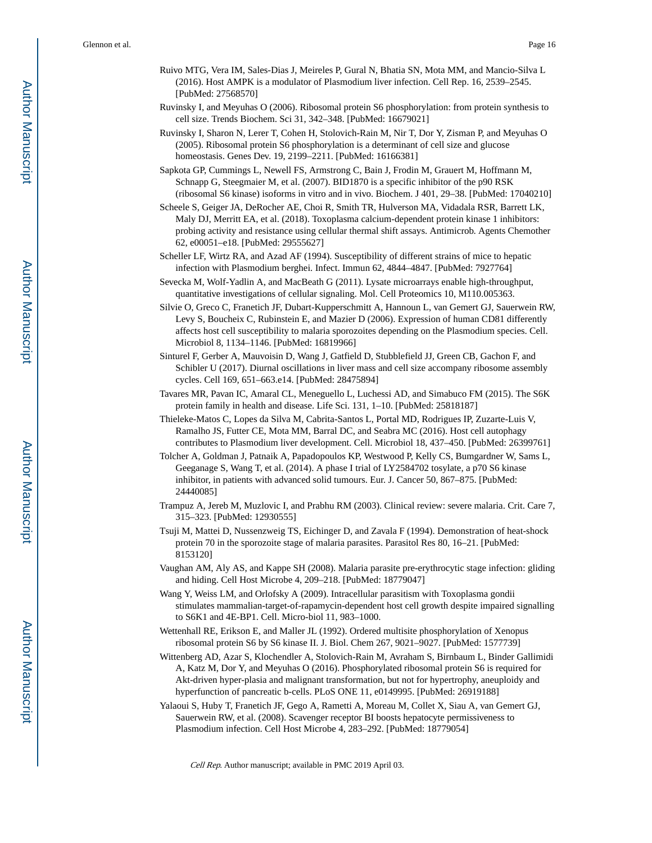- Ruivo MTG, Vera IM, Sales-Dias J, Meireles P, Gural N, Bhatia SN, Mota MM, and Mancio-Silva L (2016). Host AMPK is a modulator of Plasmodium liver infection. Cell Rep. 16, 2539–2545. [PubMed: 27568570]
- Ruvinsky I, and Meyuhas O (2006). Ribosomal protein S6 phosphorylation: from protein synthesis to cell size. Trends Biochem. Sci 31, 342–348. [PubMed: 16679021]
- Ruvinsky I, Sharon N, Lerer T, Cohen H, Stolovich-Rain M, Nir T, Dor Y, Zisman P, and Meyuhas O (2005). Ribosomal protein S6 phosphorylation is a determinant of cell size and glucose homeostasis. Genes Dev. 19, 2199–2211. [PubMed: 16166381]
- Sapkota GP, Cummings L, Newell FS, Armstrong C, Bain J, Frodin M, Grauert M, Hoffmann M, Schnapp G, Steegmaier M, et al. (2007). BID1870 is a specific inhibitor of the p90 RSK (ribosomal S6 kinase) isoforms in vitro and in vivo. Biochem. J 401, 29–38. [PubMed: 17040210]
- Scheele S, Geiger JA, DeRocher AE, Choi R, Smith TR, Hulverson MA, Vidadala RSR, Barrett LK, Maly DJ, Merritt EA, et al. (2018). Toxoplasma calcium-dependent protein kinase 1 inhibitors: probing activity and resistance using cellular thermal shift assays. Antimicrob. Agents Chemother 62, e00051–e18. [PubMed: 29555627]
- Scheller LF, Wirtz RA, and Azad AF (1994). Susceptibility of different strains of mice to hepatic infection with Plasmodium berghei. Infect. Immun 62, 4844–4847. [PubMed: 7927764]
- Sevecka M, Wolf-Yadlin A, and MacBeath G (2011). Lysate microarrays enable high-throughput, quantitative investigations of cellular signaling. Mol. Cell Proteomics 10, M110.005363.
- Silvie O, Greco C, Franetich JF, Dubart-Kupperschmitt A, Hannoun L, van Gemert GJ, Sauerwein RW, Levy S, Boucheix C, Rubinstein E, and Mazier D (2006). Expression of human CD81 differently affects host cell susceptibility to malaria sporozoites depending on the Plasmodium species. Cell. Microbiol 8, 1134–1146. [PubMed: 16819966]
- Sinturel F, Gerber A, Mauvoisin D, Wang J, Gatfield D, Stubblefield JJ, Green CB, Gachon F, and Schibler U (2017). Diurnal oscillations in liver mass and cell size accompany ribosome assembly cycles. Cell 169, 651–663.e14. [PubMed: 28475894]
- Tavares MR, Pavan IC, Amaral CL, Meneguello L, Luchessi AD, and Simabuco FM (2015). The S6K protein family in health and disease. Life Sci. 131, 1–10. [PubMed: 25818187]
- Thieleke-Matos C, Lopes da Silva M, Cabrita-Santos L, Portal MD, Rodrigues IP, Zuzarte-Luis V, Ramalho JS, Futter CE, Mota MM, Barral DC, and Seabra MC (2016). Host cell autophagy contributes to Plasmodium liver development. Cell. Microbiol 18, 437–450. [PubMed: 26399761]
- Tolcher A, Goldman J, Patnaik A, Papadopoulos KP, Westwood P, Kelly CS, Bumgardner W, Sams L, Geeganage S, Wang T, et al. (2014). A phase I trial of LY2584702 tosylate, a p70 S6 kinase inhibitor, in patients with advanced solid tumours. Eur. J. Cancer 50, 867–875. [PubMed: 24440085]
- Trampuz A, Jereb M, Muzlovic I, and Prabhu RM (2003). Clinical review: severe malaria. Crit. Care 7, 315–323. [PubMed: 12930555]
- Tsuji M, Mattei D, Nussenzweig TS, Eichinger D, and Zavala F (1994). Demonstration of heat-shock protein 70 in the sporozoite stage of malaria parasites. Parasitol Res 80, 16–21. [PubMed: 8153120]
- Vaughan AM, Aly AS, and Kappe SH (2008). Malaria parasite pre-erythrocytic stage infection: gliding and hiding. Cell Host Microbe 4, 209–218. [PubMed: 18779047]
- Wang Y, Weiss LM, and Orlofsky A (2009). Intracellular parasitism with Toxoplasma gondii stimulates mammalian-target-of-rapamycin-dependent host cell growth despite impaired signalling to S6K1 and 4E-BP1. Cell. Micro-biol 11, 983–1000.
- Wettenhall RE, Erikson E, and Maller JL (1992). Ordered multisite phosphorylation of Xenopus ribosomal protein S6 by S6 kinase II. J. Biol. Chem 267, 9021–9027. [PubMed: 1577739]
- Wittenberg AD, Azar S, Klochendler A, Stolovich-Rain M, Avraham S, Birnbaum L, Binder Gallimidi A, Katz M, Dor Y, and Meyuhas O (2016). Phosphorylated ribosomal protein S6 is required for Akt-driven hyper-plasia and malignant transformation, but not for hypertrophy, aneuploidy and hyperfunction of pancreatic b-cells. PLoS ONE 11, e0149995. [PubMed: 26919188]
- Yalaoui S, Huby T, Franetich JF, Gego A, Rametti A, Moreau M, Collet X, Siau A, van Gemert GJ, Sauerwein RW, et al. (2008). Scavenger receptor BI boosts hepatocyte permissiveness to Plasmodium infection. Cell Host Microbe 4, 283–292. [PubMed: 18779054]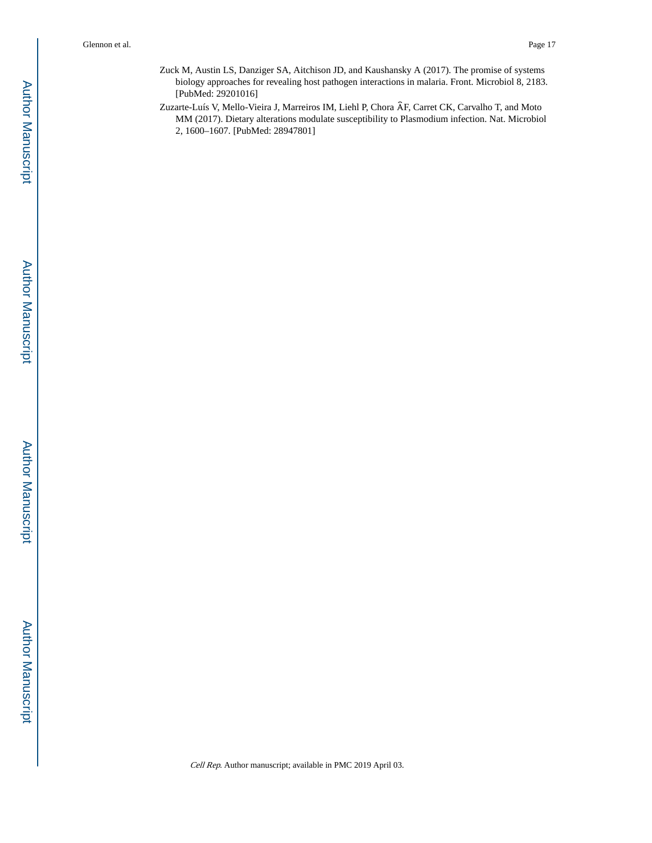Zuck M, Austin LS, Danziger SA, Aitchison JD, and Kaushansky A (2017). The promise of systems biology approaches for revealing host pathogen interactions in malaria. Front. Microbiol 8, 2183. [PubMed: 29201016]

Zuzarte-Luís V, Mello-Vieira J, Marreiros IM, Liehl P, Chora ȂF, Carret CK, Carvalho T, and Moto MM (2017). Dietary alterations modulate susceptibility to Plasmodium infection. Nat. Microbiol 2, 1600–1607. [PubMed: 28947801]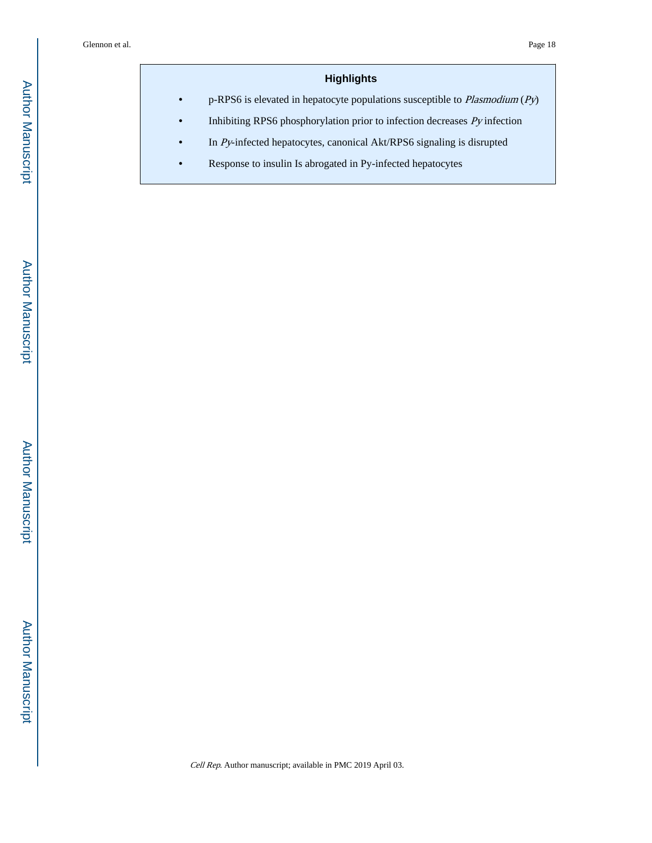# **Highlights**

**•** p-RPS6 is elevated in hepatocyte populations susceptible to Plasmodium (Py)

- **•** Inhibiting RPS6 phosphorylation prior to infection decreases Py infection
- **•** In Py-infected hepatocytes, canonical Akt/RPS6 signaling is disrupted
- **•** Response to insulin Is abrogated in Py-infected hepatocytes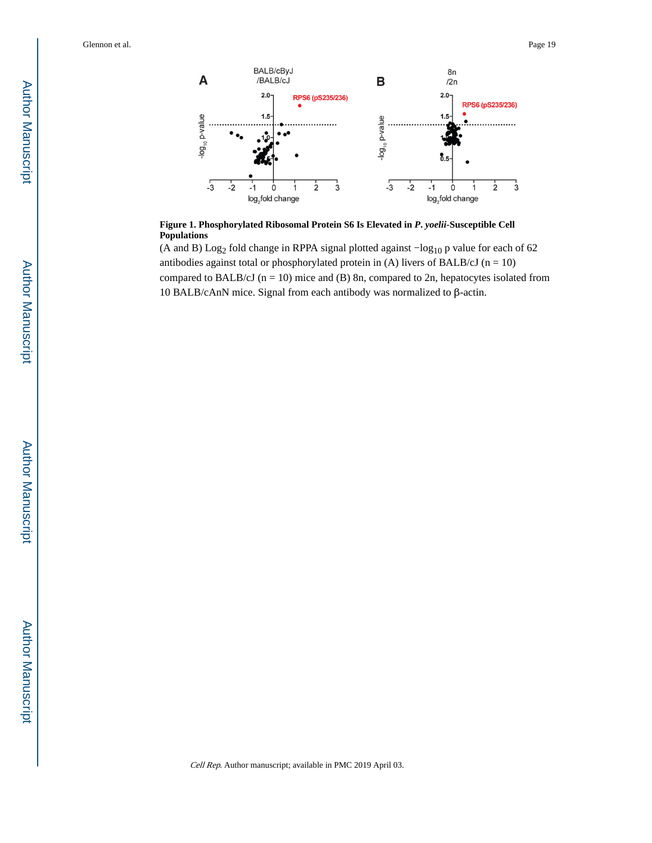

**Figure 1. Phosphorylated Ribosomal Protein S6 Is Elevated in** *P***.** *yoelii***-Susceptible Cell Populations**

(A and B) Log2 fold change in RPPA signal plotted against −log10 p value for each of 62 antibodies against total or phosphorylated protein in (A) livers of BALB/cJ ( $n = 10$ ) compared to BALB/cJ ( $n = 10$ ) mice and (B) 8n, compared to 2n, hepatocytes isolated from 10 BALB/cAnN mice. Signal from each antibody was normalized to β-actin.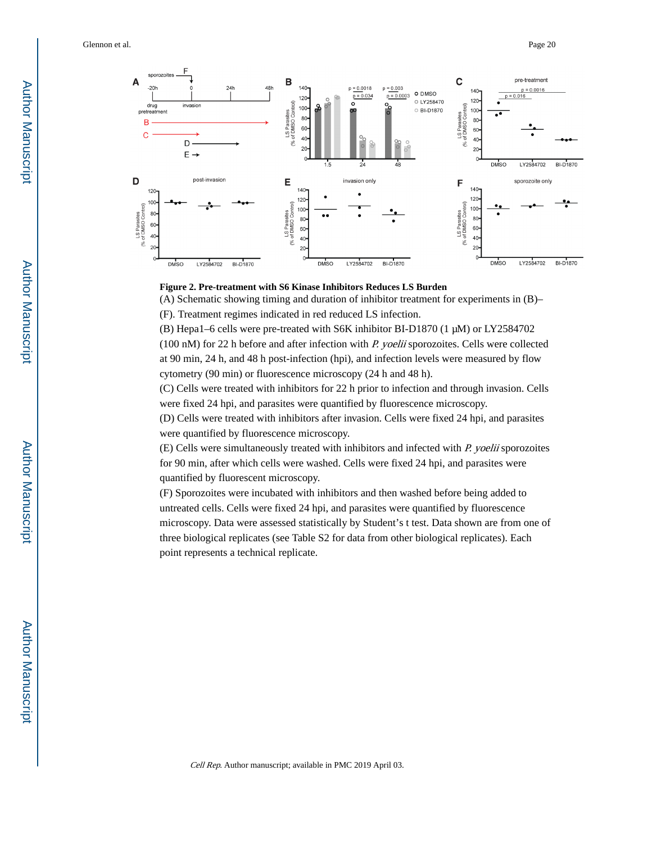

#### **Figure 2. Pre-treatment with S6 Kinase Inhibitors Reduces LS Burden**

(A) Schematic showing timing and duration of inhibitor treatment for experiments in (B)–

(F). Treatment regimes indicated in red reduced LS infection.

(B) Hepa1–6 cells were pre-treated with S6K inhibitor BI-D1870 (1 μM) or LY2584702  $(100 \text{ nM})$  for 22 h before and after infection with *P. yoelii* sporozoites. Cells were collected at 90 min, 24 h, and 48 h post-infection (hpi), and infection levels were measured by flow cytometry (90 min) or fluorescence microscopy (24 h and 48 h).

(C) Cells were treated with inhibitors for 22 h prior to infection and through invasion. Cells were fixed 24 hpi, and parasites were quantified by fluorescence microscopy.

(D) Cells were treated with inhibitors after invasion. Cells were fixed 24 hpi, and parasites were quantified by fluorescence microscopy.

(E) Cells were simultaneously treated with inhibitors and infected with P. yoelii sporozoites for 90 min, after which cells were washed. Cells were fixed 24 hpi, and parasites were quantified by fluorescent microscopy.

(F) Sporozoites were incubated with inhibitors and then washed before being added to untreated cells. Cells were fixed 24 hpi, and parasites were quantified by fluorescence microscopy. Data were assessed statistically by Student's t test. Data shown are from one of three biological replicates (see Table S2 for data from other biological replicates). Each point represents a technical replicate.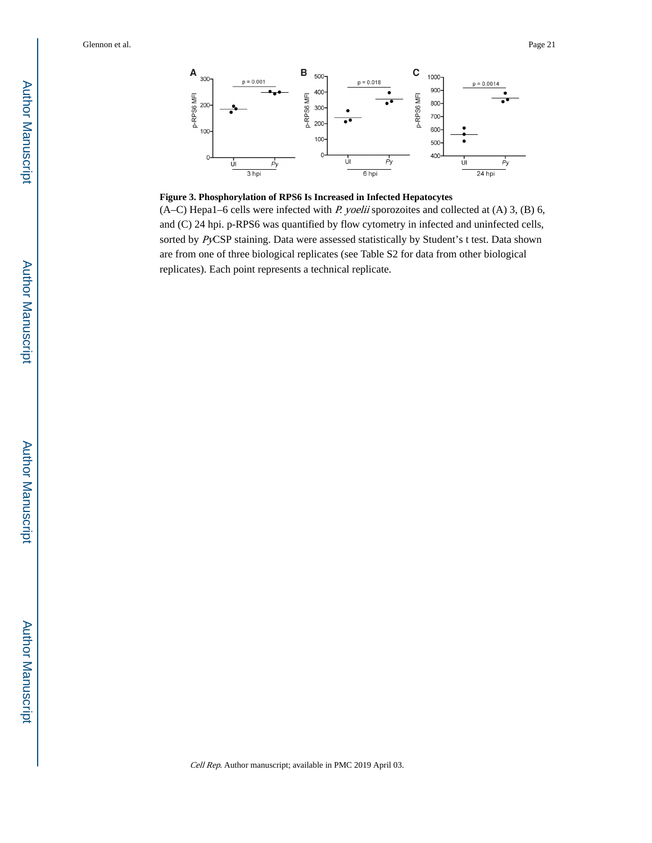

#### **Figure 3. Phosphorylation of RPS6 Is Increased in Infected Hepatocytes**

 $(A-C)$  Hepa1–6 cells were infected with *P. yoelii* sporozoites and collected at  $(A)$  3,  $(B)$  6, and (C) 24 hpi. p-RPS6 was quantified by flow cytometry in infected and uninfected cells, sorted by PyCSP staining. Data were assessed statistically by Student's t test. Data shown are from one of three biological replicates (see Table S2 for data from other biological replicates). Each point represents a technical replicate.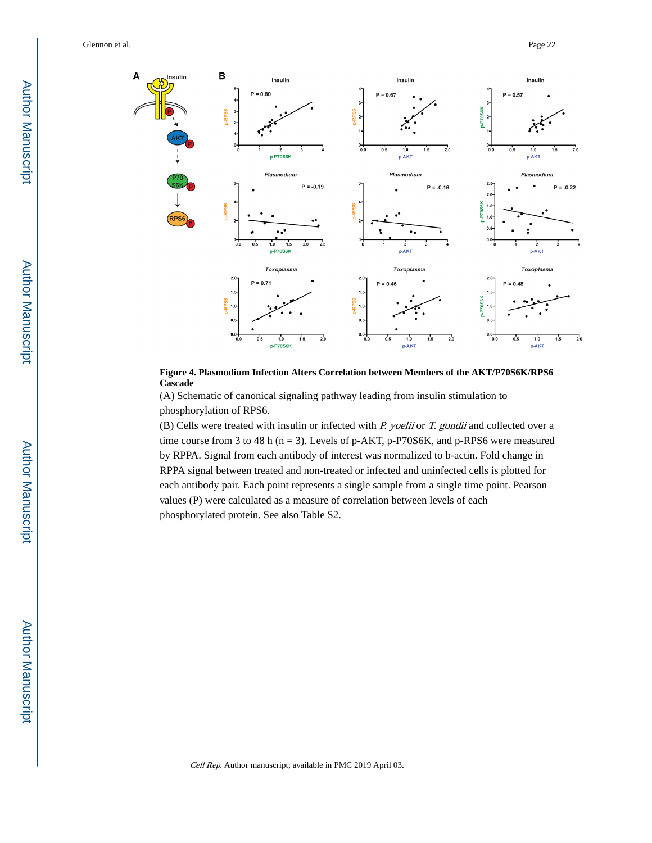



(A) Schematic of canonical signaling pathway leading from insulin stimulation to phosphorylation of RPS6.

(B) Cells were treated with insulin or infected with  $P$ . yoelii or  $T$ . gondii and collected over a time course from 3 to 48 h ( $n = 3$ ). Levels of p-AKT, p-P70S6K, and p-RPS6 were measured by RPPA. Signal from each antibody of interest was normalized to b-actin. Fold change in RPPA signal between treated and non-treated or infected and uninfected cells is plotted for each antibody pair. Each point represents a single sample from a single time point. Pearson values (P) were calculated as a measure of correlation between levels of each phosphorylated protein. See also Table S2.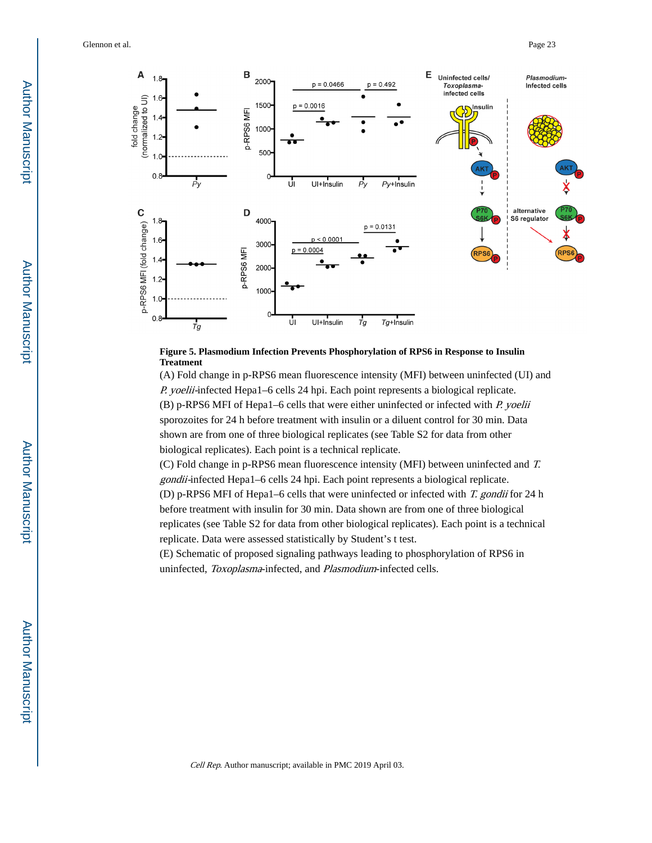Glennon et al. Page 23



### **Figure 5. Plasmodium Infection Prevents Phosphorylation of RPS6 in Response to Insulin Treatment**

(A) Fold change in p-RPS6 mean fluorescence intensity (MFI) between uninfected (UI) and P. yoelii-infected Hepa1–6 cells 24 hpi. Each point represents a biological replicate.  $(B)$  p-RPS6 MFI of Hepa1–6 cells that were either uninfected or infected with P. yoelii sporozoites for 24 h before treatment with insulin or a diluent control for 30 min. Data shown are from one of three biological replicates (see Table S2 for data from other biological replicates). Each point is a technical replicate.

(C) Fold change in p-RPS6 mean fluorescence intensity (MFI) between uninfected and T. gondii-infected Hepa1–6 cells 24 hpi. Each point represents a biological replicate. (D) p-RPS6 MFI of Hepa1–6 cells that were uninfected or infected with T. gondii for 24 h before treatment with insulin for 30 min. Data shown are from one of three biological replicates (see Table S2 for data from other biological replicates). Each point is a technical

replicate. Data were assessed statistically by Student's t test. (E) Schematic of proposed signaling pathways leading to phosphorylation of RPS6 in uninfected, Toxoplasma-infected, and Plasmodium-infected cells.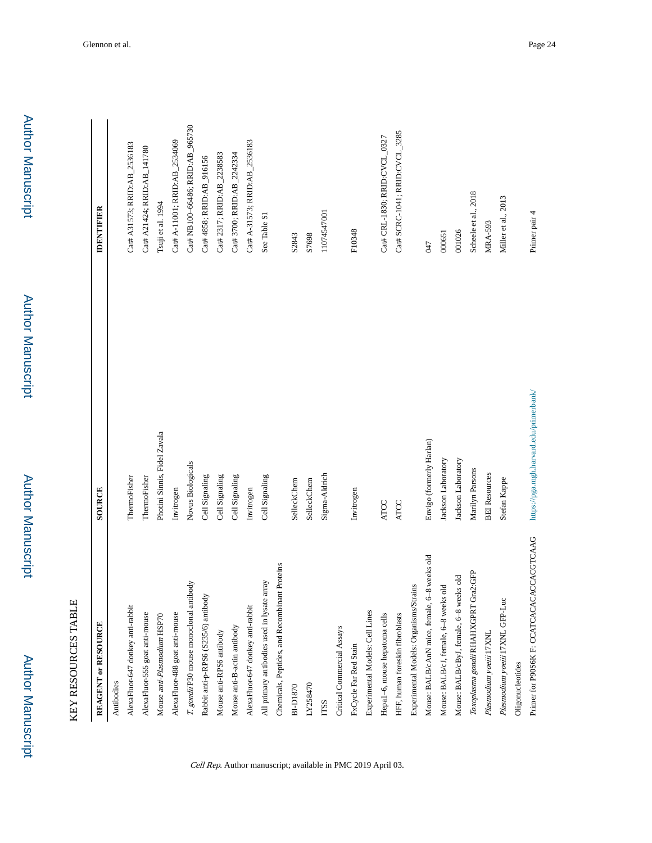| KEY RESOURCES TABLE                              |                                         |                                   |
|--------------------------------------------------|-----------------------------------------|-----------------------------------|
| REAGENT or RESOURCE                              | SOURCE                                  | <b>IDENTIFIER</b>                 |
| Antibodies                                       |                                         |                                   |
| AlexaFluor-647 donkey anti-rabbit                | ThermoFisher                            | Cat# A31573; RRID:AB_2536183      |
| AlexaFluor-555 goat anti-mouse                   | ThermoFisher                            | Cat# A21424; RRID:AB_141780       |
| Mouse anti-Plasmodium HSP70                      | Photini Sinnis, Fidel Zavala            | Tsuji et al. 1994                 |
| AlexaFluor-488 goat anti-mouse                   | Invitrogen                              | Cat# A-11001; RRID:AB_2534069     |
| T. gondii P30 mouse monoclonal antibody          | Novus Biologicals                       | Cat# NB100-66486; RRID: AB_965730 |
| Rabbit anti-p-RPS6 (S235/6) antibody             | Cell Signaling                          | Cat# 4858; RRID: AB_916156        |
| Mouse anti-RPS6 antibody                         | Cell Signaling                          | Cat# 2317; RRID: AB_2238583       |
| Mouse anti-B-actin antibody                      | Cell Signaling                          | Cat# 3700; RRID: AB_2242334       |
| AlexaFluor-647 donkey anti-rabbit                | Invitrogen                              | Cat# A-31573; RRID:AB_2536183     |
| All primary antibodies used in lysate array      | Cell Signaling                          | See Table S1                      |
| Chemicals, Peptides, and Recombinant Proteins    |                                         |                                   |
| <b>BI-D1870</b>                                  | SelleckChem                             | S2843                             |
| LY258470                                         | SelleckChem                             | S7698                             |
| <b>TTSS</b>                                      | Sigma-Aldrich                           | 11074547001                       |
| Critical Commercial Assays                       |                                         |                                   |
| FxCycle Far Red Stain                            | Invitrogen                              | F10348                            |
| Experimental Models: Cell Lines                  |                                         |                                   |
| Hepa1-6, mouse hepatoma cells                    | <b>ATCC</b>                             | Cat# CRL-1830; RRID: CVCL_0327    |
| HFF, human foreskin fibroblasts                  | <b>ATCC</b>                             | Cat# SCRC-1041; RRID:CVCL_3285    |
| Experimental Models: Organisms/Strains           |                                         |                                   |
| 8 weeks old<br>Mouse: BALB/cAnN mice, female, 6- | Envigo (formerly Harlan)                | 047                               |
| Mouse: BALB/cJ, female, 6-8 weeks old            | Jackson Laboratory                      | 000651                            |
| Mouse: BALB/cByJ, female, 6-8 weeks old          | Jackson Laboratory                      | 001026                            |
| Toxoplasma gondii RHAHXGPRT Gra2:GFP             | Marilyn Parsons                         | Scheele et al., 2018              |
| Plasmodium yoeiii 17XNL                          | <b>BEI Resources</b>                    | <b>MRA-593</b>                    |
| Plasmodium yoeiii 17XNL GFP-Luc                  | Stefan Kappe                            | Miller et al., 2013               |
| Oligonucleotides                                 |                                         |                                   |
| Primer for P90S6K F: CCATCACACACCACGTCAAG        | https://pga.mgh.harvard.edu/primerbank/ | Primer pair 4                     |

Cell Rep. Author manuscript; available in PMC 2019 April 03.

Author Manuscript

Author Manuscript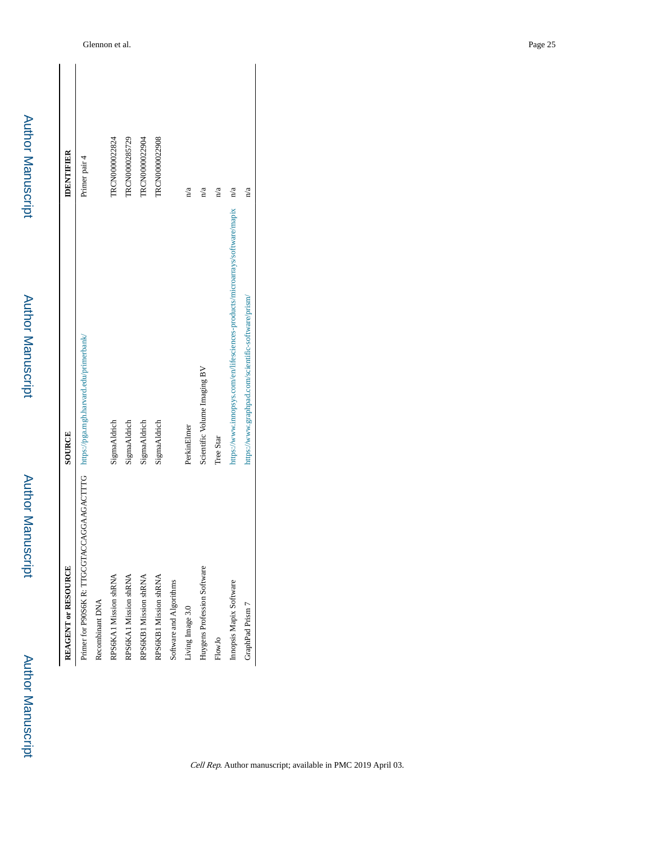| REAGENT or RESOURCE                                                                | SOURCE                                                                       | <b>IDENTIFIER</b>     |
|------------------------------------------------------------------------------------|------------------------------------------------------------------------------|-----------------------|
| Primer for P90S6K R: TTGCGTACCAGGAAGACTTTG https://pga.mgh.harvard.edu/primerbank/ |                                                                              | Primer pair 4         |
| Recombinant DNA                                                                    |                                                                              |                       |
| RPS6KA1 Mission shRNA                                                              | SigmaAldrich                                                                 | FRCN0000022824        |
| RPS6KA1 Mission shRNA                                                              | SigmaAldrich                                                                 | <b>TRCN0000285729</b> |
| RPS6KB1 Mission shRNA                                                              | SigmaAldrich                                                                 | TRCN0000022904        |
| RPS6KB1 Mission shRNA                                                              | SigmaAldrich                                                                 | TRCN0000022908        |
| Software and Algorithms                                                            |                                                                              |                       |
| Living Image 3.0                                                                   | PerkinElmer                                                                  | n/a                   |
| Huygens Profession Software                                                        | Scientific Volume Imaging BV                                                 | n/a                   |
| FlowJo                                                                             | Tree Star                                                                    | n/a                   |
| Innopsis Mapix Software                                                            | https://www.innopsys.com/en/lifesciences-products/microarrays/software/mapix | n/a                   |
| GraphPad Prism 7                                                                   | https://www.graphpad.com/scientific-software/prism/                          | n/a                   |

Author Manuscript

**Author Manuscript** 

Author Manuscript

Author Manuscript

Author Manuscript

**Author Manuscript**